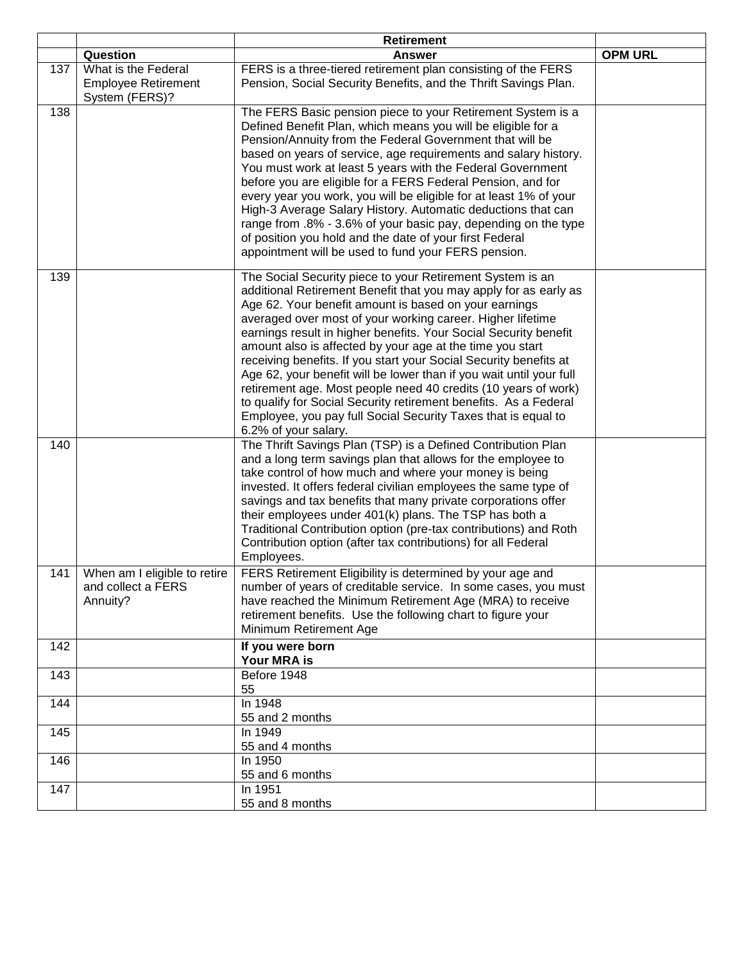|     |                                                                     | <b>Retirement</b>                                                                                                                                                                                                                                                                                                                                                                                                                                                                                                                                                                                                                                                                                                                                                |                |
|-----|---------------------------------------------------------------------|------------------------------------------------------------------------------------------------------------------------------------------------------------------------------------------------------------------------------------------------------------------------------------------------------------------------------------------------------------------------------------------------------------------------------------------------------------------------------------------------------------------------------------------------------------------------------------------------------------------------------------------------------------------------------------------------------------------------------------------------------------------|----------------|
|     | Question                                                            | <b>Answer</b>                                                                                                                                                                                                                                                                                                                                                                                                                                                                                                                                                                                                                                                                                                                                                    | <b>OPM URL</b> |
| 137 | What is the Federal<br><b>Employee Retirement</b><br>System (FERS)? | FERS is a three-tiered retirement plan consisting of the FERS<br>Pension, Social Security Benefits, and the Thrift Savings Plan.                                                                                                                                                                                                                                                                                                                                                                                                                                                                                                                                                                                                                                 |                |
| 138 |                                                                     | The FERS Basic pension piece to your Retirement System is a<br>Defined Benefit Plan, which means you will be eligible for a<br>Pension/Annuity from the Federal Government that will be<br>based on years of service, age requirements and salary history.<br>You must work at least 5 years with the Federal Government<br>before you are eligible for a FERS Federal Pension, and for<br>every year you work, you will be eligible for at least 1% of your<br>High-3 Average Salary History. Automatic deductions that can<br>range from .8% - 3.6% of your basic pay, depending on the type<br>of position you hold and the date of your first Federal<br>appointment will be used to fund your FERS pension.                                                 |                |
| 139 |                                                                     | The Social Security piece to your Retirement System is an<br>additional Retirement Benefit that you may apply for as early as<br>Age 62. Your benefit amount is based on your earnings<br>averaged over most of your working career. Higher lifetime<br>earnings result in higher benefits. Your Social Security benefit<br>amount also is affected by your age at the time you start<br>receiving benefits. If you start your Social Security benefits at<br>Age 62, your benefit will be lower than if you wait until your full<br>retirement age. Most people need 40 credits (10 years of work)<br>to qualify for Social Security retirement benefits. As a Federal<br>Employee, you pay full Social Security Taxes that is equal to<br>6.2% of your salary. |                |
| 140 |                                                                     | The Thrift Savings Plan (TSP) is a Defined Contribution Plan<br>and a long term savings plan that allows for the employee to<br>take control of how much and where your money is being<br>invested. It offers federal civilian employees the same type of<br>savings and tax benefits that many private corporations offer<br>their employees under 401(k) plans. The TSP has both a<br>Traditional Contribution option (pre-tax contributions) and Roth<br>Contribution option (after tax contributions) for all Federal<br>Employees.                                                                                                                                                                                                                          |                |
| 141 | When am I eligible to retire<br>and collect a FERS<br>Annuity?      | FERS Retirement Eligibility is determined by your age and<br>number of years of creditable service. In some cases, you must<br>have reached the Minimum Retirement Age (MRA) to receive<br>retirement benefits. Use the following chart to figure your<br>Minimum Retirement Age                                                                                                                                                                                                                                                                                                                                                                                                                                                                                 |                |
| 142 |                                                                     | If you were born<br>Your MRA is                                                                                                                                                                                                                                                                                                                                                                                                                                                                                                                                                                                                                                                                                                                                  |                |
| 143 |                                                                     | Before 1948<br>55                                                                                                                                                                                                                                                                                                                                                                                                                                                                                                                                                                                                                                                                                                                                                |                |
| 144 |                                                                     | In 1948<br>55 and 2 months                                                                                                                                                                                                                                                                                                                                                                                                                                                                                                                                                                                                                                                                                                                                       |                |
| 145 |                                                                     | In 1949<br>55 and 4 months                                                                                                                                                                                                                                                                                                                                                                                                                                                                                                                                                                                                                                                                                                                                       |                |
| 146 |                                                                     | In 1950<br>55 and 6 months                                                                                                                                                                                                                                                                                                                                                                                                                                                                                                                                                                                                                                                                                                                                       |                |
| 147 |                                                                     | In 1951<br>55 and 8 months                                                                                                                                                                                                                                                                                                                                                                                                                                                                                                                                                                                                                                                                                                                                       |                |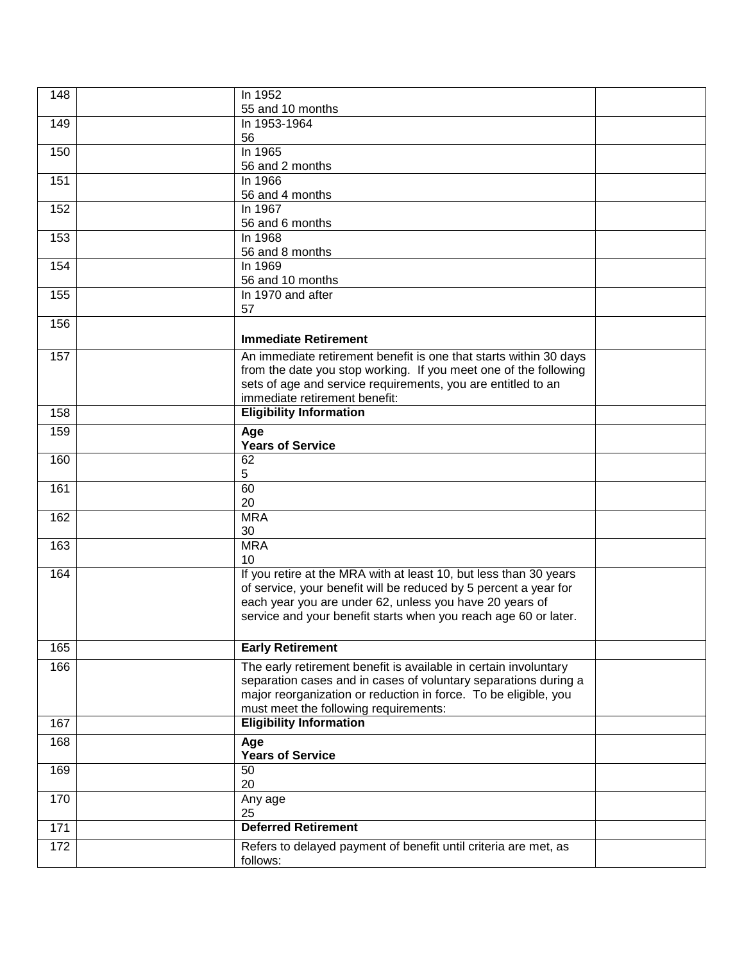| 148 | In 1952<br>55 and 10 months                                       |  |
|-----|-------------------------------------------------------------------|--|
| 149 | In 1953-1964                                                      |  |
|     | 56                                                                |  |
| 150 | In 1965                                                           |  |
|     | 56 and 2 months                                                   |  |
| 151 | In 1966                                                           |  |
|     | 56 and 4 months                                                   |  |
| 152 | In 1967<br>56 and 6 months                                        |  |
| 153 | In 1968                                                           |  |
|     | 56 and 8 months                                                   |  |
| 154 | In 1969                                                           |  |
|     | 56 and 10 months                                                  |  |
| 155 | In 1970 and after                                                 |  |
|     | 57                                                                |  |
| 156 |                                                                   |  |
|     | <b>Immediate Retirement</b>                                       |  |
| 157 | An immediate retirement benefit is one that starts within 30 days |  |
|     | from the date you stop working. If you meet one of the following  |  |
|     | sets of age and service requirements, you are entitled to an      |  |
|     | immediate retirement benefit:                                     |  |
| 158 | <b>Eligibility Information</b>                                    |  |
| 159 | Age                                                               |  |
|     | <b>Years of Service</b>                                           |  |
| 160 | 62                                                                |  |
|     | 5                                                                 |  |
| 161 | 60<br>20                                                          |  |
| 162 | <b>MRA</b>                                                        |  |
|     | 30                                                                |  |
| 163 | <b>MRA</b>                                                        |  |
|     | 10                                                                |  |
| 164 | If you retire at the MRA with at least 10, but less than 30 years |  |
|     | of service, your benefit will be reduced by 5 percent a year for  |  |
|     | each year you are under 62, unless you have 20 years of           |  |
|     | service and your benefit starts when you reach age 60 or later.   |  |
|     |                                                                   |  |
| 165 | <b>Early Retirement</b>                                           |  |
| 166 | The early retirement benefit is available in certain involuntary  |  |
|     | separation cases and in cases of voluntary separations during a   |  |
|     | major reorganization or reduction in force. To be eligible, you   |  |
|     | must meet the following requirements:                             |  |
| 167 | <b>Eligibility Information</b>                                    |  |
| 168 | Age                                                               |  |
|     | <b>Years of Service</b>                                           |  |
| 169 | 50                                                                |  |
|     | 20                                                                |  |
| 170 | Any age<br>25                                                     |  |
| 171 | <b>Deferred Retirement</b>                                        |  |
| 172 | Refers to delayed payment of benefit until criteria are met, as   |  |
|     | follows:                                                          |  |
|     |                                                                   |  |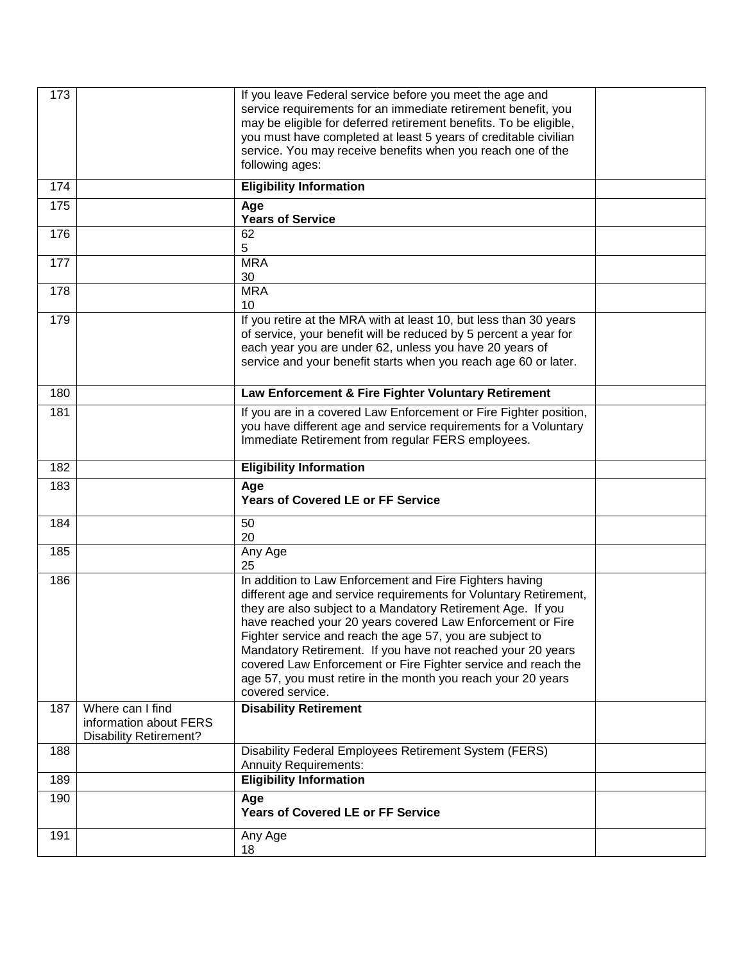| 173 |                                                                             | If you leave Federal service before you meet the age and<br>service requirements for an immediate retirement benefit, you<br>may be eligible for deferred retirement benefits. To be eligible,<br>you must have completed at least 5 years of creditable civilian<br>service. You may receive benefits when you reach one of the<br>following ages:                                                                                                                                                                                      |  |
|-----|-----------------------------------------------------------------------------|------------------------------------------------------------------------------------------------------------------------------------------------------------------------------------------------------------------------------------------------------------------------------------------------------------------------------------------------------------------------------------------------------------------------------------------------------------------------------------------------------------------------------------------|--|
| 174 |                                                                             | <b>Eligibility Information</b>                                                                                                                                                                                                                                                                                                                                                                                                                                                                                                           |  |
| 175 |                                                                             | Age<br><b>Years of Service</b>                                                                                                                                                                                                                                                                                                                                                                                                                                                                                                           |  |
| 176 |                                                                             | 62<br>5                                                                                                                                                                                                                                                                                                                                                                                                                                                                                                                                  |  |
| 177 |                                                                             | <b>MRA</b><br>30                                                                                                                                                                                                                                                                                                                                                                                                                                                                                                                         |  |
| 178 |                                                                             | <b>MRA</b><br>10                                                                                                                                                                                                                                                                                                                                                                                                                                                                                                                         |  |
| 179 |                                                                             | If you retire at the MRA with at least 10, but less than 30 years<br>of service, your benefit will be reduced by 5 percent a year for<br>each year you are under 62, unless you have 20 years of<br>service and your benefit starts when you reach age 60 or later.                                                                                                                                                                                                                                                                      |  |
| 180 |                                                                             | Law Enforcement & Fire Fighter Voluntary Retirement                                                                                                                                                                                                                                                                                                                                                                                                                                                                                      |  |
| 181 |                                                                             | If you are in a covered Law Enforcement or Fire Fighter position,<br>you have different age and service requirements for a Voluntary<br>Immediate Retirement from regular FERS employees.                                                                                                                                                                                                                                                                                                                                                |  |
| 182 |                                                                             | <b>Eligibility Information</b>                                                                                                                                                                                                                                                                                                                                                                                                                                                                                                           |  |
| 183 |                                                                             | Age<br><b>Years of Covered LE or FF Service</b>                                                                                                                                                                                                                                                                                                                                                                                                                                                                                          |  |
| 184 |                                                                             | 50<br>20                                                                                                                                                                                                                                                                                                                                                                                                                                                                                                                                 |  |
| 185 |                                                                             | Any Age<br>25                                                                                                                                                                                                                                                                                                                                                                                                                                                                                                                            |  |
| 186 |                                                                             | In addition to Law Enforcement and Fire Fighters having<br>different age and service requirements for Voluntary Retirement,<br>they are also subject to a Mandatory Retirement Age. If you<br>have reached your 20 years covered Law Enforcement or Fire<br>Fighter service and reach the age 57, you are subject to<br>Mandatory Retirement. If you have not reached your 20 years<br>covered Law Enforcement or Fire Fighter service and reach the<br>age 57, you must retire in the month you reach your 20 years<br>covered service. |  |
| 187 | Where can I find<br>information about FERS<br><b>Disability Retirement?</b> | <b>Disability Retirement</b>                                                                                                                                                                                                                                                                                                                                                                                                                                                                                                             |  |
| 188 |                                                                             | Disability Federal Employees Retirement System (FERS)<br><b>Annuity Requirements:</b>                                                                                                                                                                                                                                                                                                                                                                                                                                                    |  |
| 189 |                                                                             | <b>Eligibility Information</b>                                                                                                                                                                                                                                                                                                                                                                                                                                                                                                           |  |
| 190 |                                                                             | Age<br><b>Years of Covered LE or FF Service</b>                                                                                                                                                                                                                                                                                                                                                                                                                                                                                          |  |
| 191 |                                                                             | Any Age<br>18                                                                                                                                                                                                                                                                                                                                                                                                                                                                                                                            |  |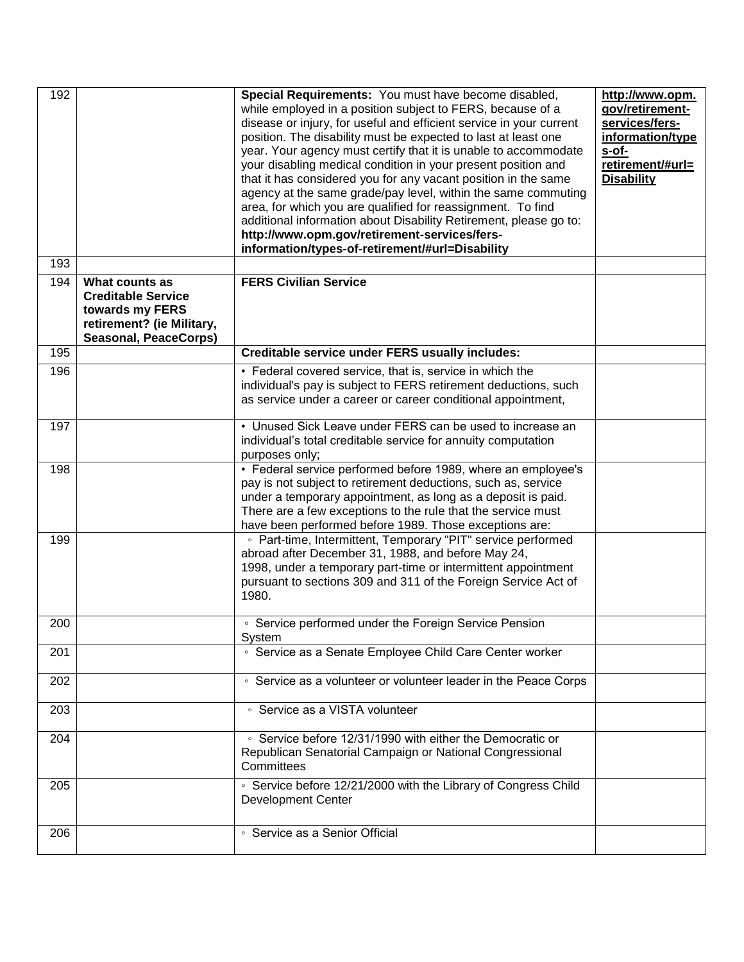| 192 |                                                                                                                             | Special Requirements: You must have become disabled,<br>while employed in a position subject to FERS, because of a<br>disease or injury, for useful and efficient service in your current<br>position. The disability must be expected to last at least one<br>year. Your agency must certify that it is unable to accommodate<br>your disabling medical condition in your present position and<br>that it has considered you for any vacant position in the same<br>agency at the same grade/pay level, within the same commuting<br>area, for which you are qualified for reassignment. To find<br>additional information about Disability Retirement, please go to:<br>http://www.opm.gov/retirement-services/fers-<br>information/types-of-retirement/#url=Disability | http://www.opm.<br>gov/retirement-<br>services/fers-<br>information/type<br>s-of-<br>retirement/#url=<br><b>Disability</b> |
|-----|-----------------------------------------------------------------------------------------------------------------------------|---------------------------------------------------------------------------------------------------------------------------------------------------------------------------------------------------------------------------------------------------------------------------------------------------------------------------------------------------------------------------------------------------------------------------------------------------------------------------------------------------------------------------------------------------------------------------------------------------------------------------------------------------------------------------------------------------------------------------------------------------------------------------|----------------------------------------------------------------------------------------------------------------------------|
| 193 |                                                                                                                             |                                                                                                                                                                                                                                                                                                                                                                                                                                                                                                                                                                                                                                                                                                                                                                           |                                                                                                                            |
| 194 | What counts as<br><b>Creditable Service</b><br>towards my FERS<br>retirement? (ie Military,<br><b>Seasonal, PeaceCorps)</b> | <b>FERS Civilian Service</b>                                                                                                                                                                                                                                                                                                                                                                                                                                                                                                                                                                                                                                                                                                                                              |                                                                                                                            |
| 195 |                                                                                                                             | <b>Creditable service under FERS usually includes:</b>                                                                                                                                                                                                                                                                                                                                                                                                                                                                                                                                                                                                                                                                                                                    |                                                                                                                            |
| 196 |                                                                                                                             | • Federal covered service, that is, service in which the<br>individual's pay is subject to FERS retirement deductions, such<br>as service under a career or career conditional appointment,                                                                                                                                                                                                                                                                                                                                                                                                                                                                                                                                                                               |                                                                                                                            |
| 197 |                                                                                                                             | • Unused Sick Leave under FERS can be used to increase an<br>individual's total creditable service for annuity computation<br>purposes only;                                                                                                                                                                                                                                                                                                                                                                                                                                                                                                                                                                                                                              |                                                                                                                            |
| 198 |                                                                                                                             | • Federal service performed before 1989, where an employee's<br>pay is not subject to retirement deductions, such as, service<br>under a temporary appointment, as long as a deposit is paid.<br>There are a few exceptions to the rule that the service must<br>have been performed before 1989. Those exceptions are:                                                                                                                                                                                                                                                                                                                                                                                                                                                   |                                                                                                                            |
| 199 |                                                                                                                             | • Part-time, Intermittent, Temporary "PIT" service performed<br>abroad after December 31, 1988, and before May 24,<br>1998, under a temporary part-time or intermittent appointment<br>pursuant to sections 309 and 311 of the Foreign Service Act of<br>1980.                                                                                                                                                                                                                                                                                                                                                                                                                                                                                                            |                                                                                                                            |
| 200 |                                                                                                                             | • Service performed under the Foreign Service Pension<br>System                                                                                                                                                                                                                                                                                                                                                                                                                                                                                                                                                                                                                                                                                                           |                                                                                                                            |
| 201 |                                                                                                                             | • Service as a Senate Employee Child Care Center worker                                                                                                                                                                                                                                                                                                                                                                                                                                                                                                                                                                                                                                                                                                                   |                                                                                                                            |
| 202 |                                                                                                                             | • Service as a volunteer or volunteer leader in the Peace Corps                                                                                                                                                                                                                                                                                                                                                                                                                                                                                                                                                                                                                                                                                                           |                                                                                                                            |
| 203 |                                                                                                                             | ◦ Service as a VISTA volunteer                                                                                                                                                                                                                                                                                                                                                                                                                                                                                                                                                                                                                                                                                                                                            |                                                                                                                            |
| 204 |                                                                                                                             | ○ Service before 12/31/1990 with either the Democratic or<br>Republican Senatorial Campaign or National Congressional<br>Committees                                                                                                                                                                                                                                                                                                                                                                                                                                                                                                                                                                                                                                       |                                                                                                                            |
| 205 |                                                                                                                             | • Service before 12/21/2000 with the Library of Congress Child<br><b>Development Center</b>                                                                                                                                                                                                                                                                                                                                                                                                                                                                                                                                                                                                                                                                               |                                                                                                                            |
| 206 |                                                                                                                             | • Service as a Senior Official                                                                                                                                                                                                                                                                                                                                                                                                                                                                                                                                                                                                                                                                                                                                            |                                                                                                                            |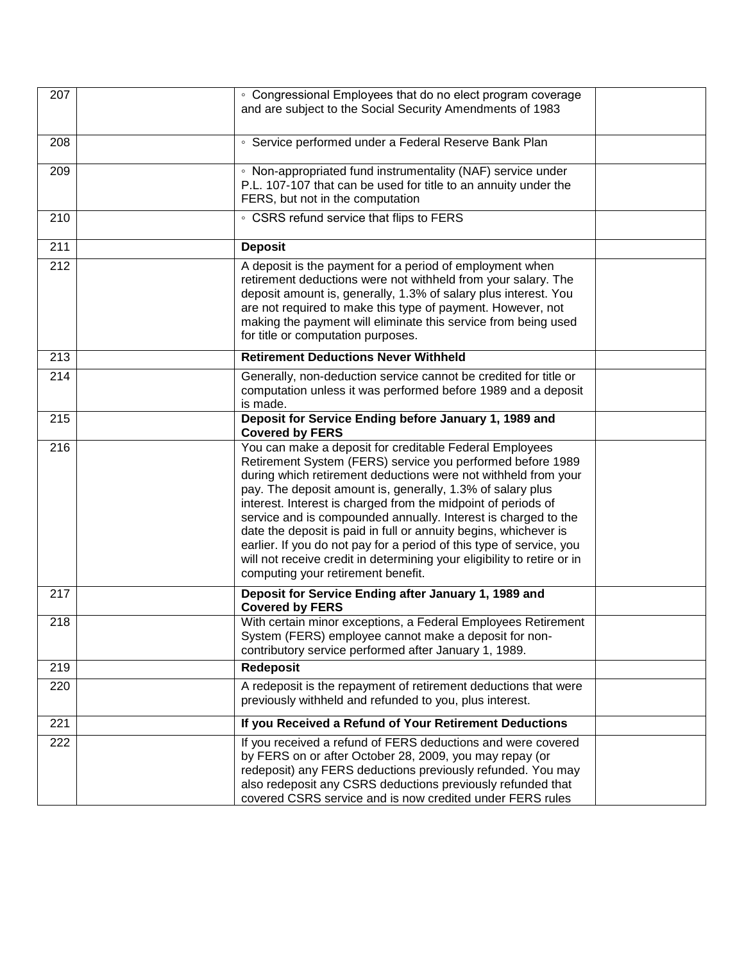| 207 | • Congressional Employees that do no elect program coverage<br>and are subject to the Social Security Amendments of 1983                                                                                                                                                                                                                                                                                                                                                                                                                                                                                                                              |  |
|-----|-------------------------------------------------------------------------------------------------------------------------------------------------------------------------------------------------------------------------------------------------------------------------------------------------------------------------------------------------------------------------------------------------------------------------------------------------------------------------------------------------------------------------------------------------------------------------------------------------------------------------------------------------------|--|
| 208 | • Service performed under a Federal Reserve Bank Plan                                                                                                                                                                                                                                                                                                                                                                                                                                                                                                                                                                                                 |  |
| 209 | • Non-appropriated fund instrumentality (NAF) service under<br>P.L. 107-107 that can be used for title to an annuity under the<br>FERS, but not in the computation                                                                                                                                                                                                                                                                                                                                                                                                                                                                                    |  |
| 210 | • CSRS refund service that flips to FERS                                                                                                                                                                                                                                                                                                                                                                                                                                                                                                                                                                                                              |  |
| 211 | <b>Deposit</b>                                                                                                                                                                                                                                                                                                                                                                                                                                                                                                                                                                                                                                        |  |
| 212 | A deposit is the payment for a period of employment when<br>retirement deductions were not withheld from your salary. The<br>deposit amount is, generally, 1.3% of salary plus interest. You<br>are not required to make this type of payment. However, not<br>making the payment will eliminate this service from being used<br>for title or computation purposes.                                                                                                                                                                                                                                                                                   |  |
| 213 | <b>Retirement Deductions Never Withheld</b>                                                                                                                                                                                                                                                                                                                                                                                                                                                                                                                                                                                                           |  |
| 214 | Generally, non-deduction service cannot be credited for title or<br>computation unless it was performed before 1989 and a deposit<br>is made.                                                                                                                                                                                                                                                                                                                                                                                                                                                                                                         |  |
| 215 | Deposit for Service Ending before January 1, 1989 and<br><b>Covered by FERS</b>                                                                                                                                                                                                                                                                                                                                                                                                                                                                                                                                                                       |  |
| 216 | You can make a deposit for creditable Federal Employees<br>Retirement System (FERS) service you performed before 1989<br>during which retirement deductions were not withheld from your<br>pay. The deposit amount is, generally, 1.3% of salary plus<br>interest. Interest is charged from the midpoint of periods of<br>service and is compounded annually. Interest is charged to the<br>date the deposit is paid in full or annuity begins, whichever is<br>earlier. If you do not pay for a period of this type of service, you<br>will not receive credit in determining your eligibility to retire or in<br>computing your retirement benefit. |  |
| 217 | Deposit for Service Ending after January 1, 1989 and<br><b>Covered by FERS</b>                                                                                                                                                                                                                                                                                                                                                                                                                                                                                                                                                                        |  |
| 218 | With certain minor exceptions, a Federal Employees Retirement<br>System (FERS) employee cannot make a deposit for non-<br>contributory service performed after January 1, 1989.                                                                                                                                                                                                                                                                                                                                                                                                                                                                       |  |
| 219 | Redeposit                                                                                                                                                                                                                                                                                                                                                                                                                                                                                                                                                                                                                                             |  |
| 220 | A redeposit is the repayment of retirement deductions that were<br>previously withheld and refunded to you, plus interest.                                                                                                                                                                                                                                                                                                                                                                                                                                                                                                                            |  |
| 221 | If you Received a Refund of Your Retirement Deductions                                                                                                                                                                                                                                                                                                                                                                                                                                                                                                                                                                                                |  |
| 222 | If you received a refund of FERS deductions and were covered<br>by FERS on or after October 28, 2009, you may repay (or<br>redeposit) any FERS deductions previously refunded. You may<br>also redeposit any CSRS deductions previously refunded that<br>covered CSRS service and is now credited under FERS rules                                                                                                                                                                                                                                                                                                                                    |  |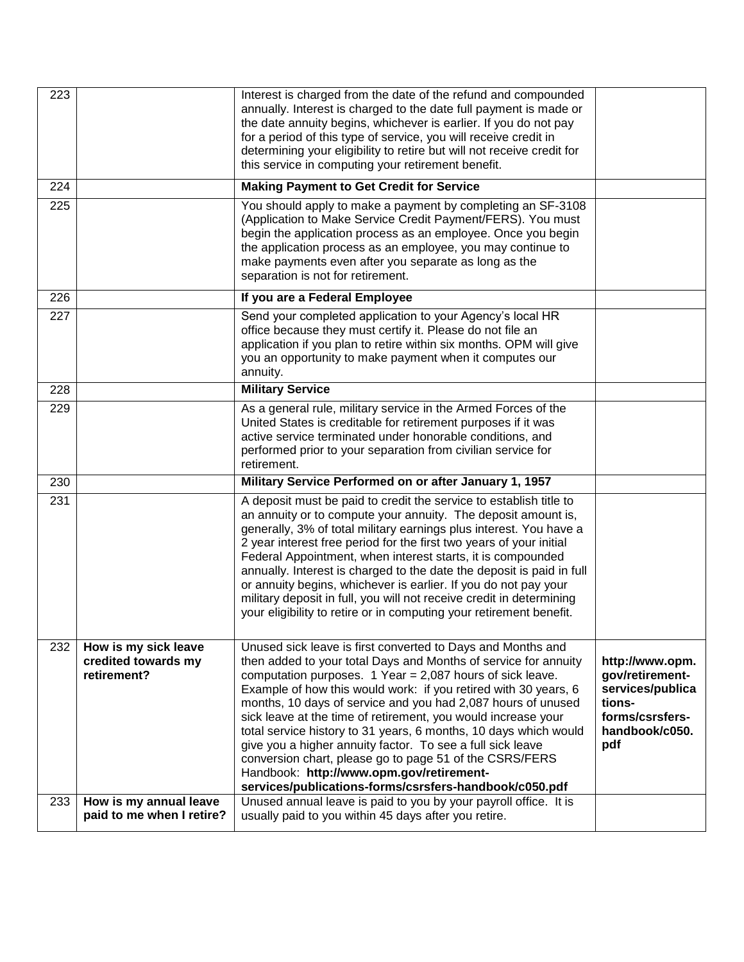| 223 |                                                            | Interest is charged from the date of the refund and compounded<br>annually. Interest is charged to the date full payment is made or<br>the date annuity begins, whichever is earlier. If you do not pay<br>for a period of this type of service, you will receive credit in<br>determining your eligibility to retire but will not receive credit for<br>this service in computing your retirement benefit.                                                                                                                                                                                                                                                                                          |                                                                                                              |
|-----|------------------------------------------------------------|------------------------------------------------------------------------------------------------------------------------------------------------------------------------------------------------------------------------------------------------------------------------------------------------------------------------------------------------------------------------------------------------------------------------------------------------------------------------------------------------------------------------------------------------------------------------------------------------------------------------------------------------------------------------------------------------------|--------------------------------------------------------------------------------------------------------------|
| 224 |                                                            | <b>Making Payment to Get Credit for Service</b>                                                                                                                                                                                                                                                                                                                                                                                                                                                                                                                                                                                                                                                      |                                                                                                              |
| 225 |                                                            | You should apply to make a payment by completing an SF-3108<br>(Application to Make Service Credit Payment/FERS). You must<br>begin the application process as an employee. Once you begin<br>the application process as an employee, you may continue to<br>make payments even after you separate as long as the<br>separation is not for retirement.                                                                                                                                                                                                                                                                                                                                               |                                                                                                              |
| 226 |                                                            | If you are a Federal Employee                                                                                                                                                                                                                                                                                                                                                                                                                                                                                                                                                                                                                                                                        |                                                                                                              |
| 227 |                                                            | Send your completed application to your Agency's local HR<br>office because they must certify it. Please do not file an<br>application if you plan to retire within six months. OPM will give<br>you an opportunity to make payment when it computes our<br>annuity.                                                                                                                                                                                                                                                                                                                                                                                                                                 |                                                                                                              |
| 228 |                                                            | <b>Military Service</b>                                                                                                                                                                                                                                                                                                                                                                                                                                                                                                                                                                                                                                                                              |                                                                                                              |
| 229 |                                                            | As a general rule, military service in the Armed Forces of the<br>United States is creditable for retirement purposes if it was<br>active service terminated under honorable conditions, and<br>performed prior to your separation from civilian service for<br>retirement.                                                                                                                                                                                                                                                                                                                                                                                                                          |                                                                                                              |
| 230 |                                                            | Military Service Performed on or after January 1, 1957                                                                                                                                                                                                                                                                                                                                                                                                                                                                                                                                                                                                                                               |                                                                                                              |
| 231 |                                                            | A deposit must be paid to credit the service to establish title to<br>an annuity or to compute your annuity. The deposit amount is,<br>generally, 3% of total military earnings plus interest. You have a<br>2 year interest free period for the first two years of your initial<br>Federal Appointment, when interest starts, it is compounded<br>annually. Interest is charged to the date the deposit is paid in full<br>or annuity begins, whichever is earlier. If you do not pay your<br>military deposit in full, you will not receive credit in determining<br>your eligibility to retire or in computing your retirement benefit.                                                           |                                                                                                              |
| 232 | How is my sick leave<br>credited towards my<br>retirement? | Unused sick leave is first converted to Days and Months and<br>then added to your total Days and Months of service for annuity<br>computation purposes. $1$ Year = 2,087 hours of sick leave.<br>Example of how this would work: if you retired with 30 years, 6<br>months, 10 days of service and you had 2,087 hours of unused<br>sick leave at the time of retirement, you would increase your<br>total service history to 31 years, 6 months, 10 days which would<br>give you a higher annuity factor. To see a full sick leave<br>conversion chart, please go to page 51 of the CSRS/FERS<br>Handbook: http://www.opm.gov/retirement-<br>services/publications-forms/csrsfers-handbook/c050.pdf | http://www.opm.<br>gov/retirement-<br>services/publica<br>tions-<br>forms/csrsfers-<br>handbook/c050.<br>pdf |
| 233 | How is my annual leave<br>paid to me when I retire?        | Unused annual leave is paid to you by your payroll office. It is<br>usually paid to you within 45 days after you retire.                                                                                                                                                                                                                                                                                                                                                                                                                                                                                                                                                                             |                                                                                                              |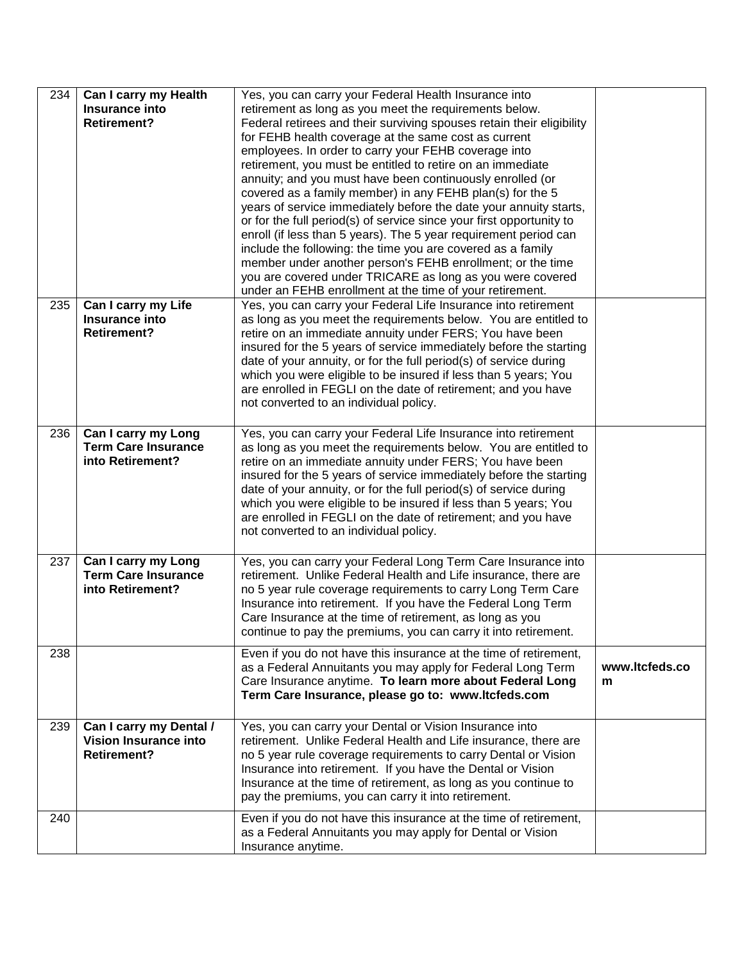| 234 | Can I carry my Health<br>Insurance into<br><b>Retirement?</b>                 | Yes, you can carry your Federal Health Insurance into<br>retirement as long as you meet the requirements below.<br>Federal retirees and their surviving spouses retain their eligibility<br>for FEHB health coverage at the same cost as current<br>employees. In order to carry your FEHB coverage into<br>retirement, you must be entitled to retire on an immediate<br>annuity; and you must have been continuously enrolled (or<br>covered as a family member) in any FEHB plan(s) for the 5<br>years of service immediately before the date your annuity starts,<br>or for the full period(s) of service since your first opportunity to<br>enroll (if less than 5 years). The 5 year requirement period can<br>include the following: the time you are covered as a family<br>member under another person's FEHB enrollment; or the time<br>you are covered under TRICARE as long as you were covered<br>under an FEHB enrollment at the time of your retirement. |                     |
|-----|-------------------------------------------------------------------------------|-------------------------------------------------------------------------------------------------------------------------------------------------------------------------------------------------------------------------------------------------------------------------------------------------------------------------------------------------------------------------------------------------------------------------------------------------------------------------------------------------------------------------------------------------------------------------------------------------------------------------------------------------------------------------------------------------------------------------------------------------------------------------------------------------------------------------------------------------------------------------------------------------------------------------------------------------------------------------|---------------------|
| 235 | Can I carry my Life<br>Insurance into<br><b>Retirement?</b>                   | Yes, you can carry your Federal Life Insurance into retirement<br>as long as you meet the requirements below. You are entitled to<br>retire on an immediate annuity under FERS; You have been<br>insured for the 5 years of service immediately before the starting<br>date of your annuity, or for the full period(s) of service during<br>which you were eligible to be insured if less than 5 years; You<br>are enrolled in FEGLI on the date of retirement; and you have<br>not converted to an individual policy.                                                                                                                                                                                                                                                                                                                                                                                                                                                  |                     |
| 236 | Can I carry my Long<br><b>Term Care Insurance</b><br>into Retirement?         | Yes, you can carry your Federal Life Insurance into retirement<br>as long as you meet the requirements below. You are entitled to<br>retire on an immediate annuity under FERS; You have been<br>insured for the 5 years of service immediately before the starting<br>date of your annuity, or for the full period(s) of service during<br>which you were eligible to be insured if less than 5 years; You<br>are enrolled in FEGLI on the date of retirement; and you have<br>not converted to an individual policy.                                                                                                                                                                                                                                                                                                                                                                                                                                                  |                     |
| 237 | Can I carry my Long<br><b>Term Care Insurance</b><br>into Retirement?         | Yes, you can carry your Federal Long Term Care Insurance into<br>retirement. Unlike Federal Health and Life insurance, there are<br>no 5 year rule coverage requirements to carry Long Term Care<br>Insurance into retirement. If you have the Federal Long Term<br>Care Insurance at the time of retirement, as long as you<br>continue to pay the premiums, you can carry it into retirement.                                                                                                                                                                                                                                                                                                                                                                                                                                                                                                                                                                         |                     |
| 238 |                                                                               | Even if you do not have this insurance at the time of retirement,<br>as a Federal Annuitants you may apply for Federal Long Term<br>Care Insurance anytime. To learn more about Federal Long<br>Term Care Insurance, please go to: www.ltcfeds.com                                                                                                                                                                                                                                                                                                                                                                                                                                                                                                                                                                                                                                                                                                                      | www.ltcfeds.co<br>m |
| 239 | Can I carry my Dental /<br><b>Vision Insurance into</b><br><b>Retirement?</b> | Yes, you can carry your Dental or Vision Insurance into<br>retirement. Unlike Federal Health and Life insurance, there are<br>no 5 year rule coverage requirements to carry Dental or Vision<br>Insurance into retirement. If you have the Dental or Vision<br>Insurance at the time of retirement, as long as you continue to<br>pay the premiums, you can carry it into retirement.                                                                                                                                                                                                                                                                                                                                                                                                                                                                                                                                                                                   |                     |
| 240 |                                                                               | Even if you do not have this insurance at the time of retirement,<br>as a Federal Annuitants you may apply for Dental or Vision<br>Insurance anytime.                                                                                                                                                                                                                                                                                                                                                                                                                                                                                                                                                                                                                                                                                                                                                                                                                   |                     |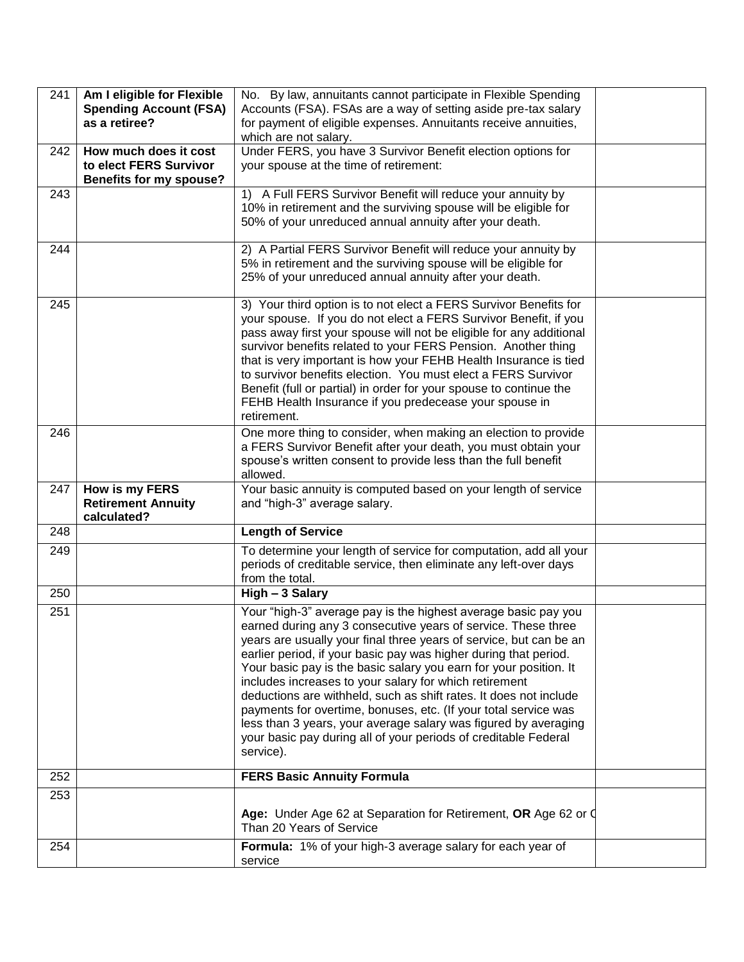| 241 | Am I eligible for Flexible<br><b>Spending Account (FSA)</b><br>as a retiree? | No. By law, annuitants cannot participate in Flexible Spending<br>Accounts (FSA). FSAs are a way of setting aside pre-tax salary<br>for payment of eligible expenses. Annuitants receive annuities,<br>which are not salary.                                                                                                                                                                                                                                                                                                                                                                                        |  |
|-----|------------------------------------------------------------------------------|---------------------------------------------------------------------------------------------------------------------------------------------------------------------------------------------------------------------------------------------------------------------------------------------------------------------------------------------------------------------------------------------------------------------------------------------------------------------------------------------------------------------------------------------------------------------------------------------------------------------|--|
| 242 | How much does it cost                                                        | Under FERS, you have 3 Survivor Benefit election options for                                                                                                                                                                                                                                                                                                                                                                                                                                                                                                                                                        |  |
|     | to elect FERS Survivor                                                       | your spouse at the time of retirement:                                                                                                                                                                                                                                                                                                                                                                                                                                                                                                                                                                              |  |
|     | <b>Benefits for my spouse?</b>                                               |                                                                                                                                                                                                                                                                                                                                                                                                                                                                                                                                                                                                                     |  |
| 243 |                                                                              | 1) A Full FERS Survivor Benefit will reduce your annuity by<br>10% in retirement and the surviving spouse will be eligible for<br>50% of your unreduced annual annuity after your death.                                                                                                                                                                                                                                                                                                                                                                                                                            |  |
| 244 |                                                                              | 2) A Partial FERS Survivor Benefit will reduce your annuity by<br>5% in retirement and the surviving spouse will be eligible for<br>25% of your unreduced annual annuity after your death.                                                                                                                                                                                                                                                                                                                                                                                                                          |  |
| 245 |                                                                              | 3) Your third option is to not elect a FERS Survivor Benefits for<br>your spouse. If you do not elect a FERS Survivor Benefit, if you<br>pass away first your spouse will not be eligible for any additional<br>survivor benefits related to your FERS Pension. Another thing<br>that is very important is how your FEHB Health Insurance is tied<br>to survivor benefits election. You must elect a FERS Survivor<br>Benefit (full or partial) in order for your spouse to continue the<br>FEHB Health Insurance if you predecease your spouse in<br>retirement.                                                   |  |
| 246 |                                                                              | One more thing to consider, when making an election to provide<br>a FERS Survivor Benefit after your death, you must obtain your<br>spouse's written consent to provide less than the full benefit<br>allowed.                                                                                                                                                                                                                                                                                                                                                                                                      |  |
| 247 | How is my FERS<br><b>Retirement Annuity</b><br>calculated?                   | Your basic annuity is computed based on your length of service<br>and "high-3" average salary.                                                                                                                                                                                                                                                                                                                                                                                                                                                                                                                      |  |
| 248 |                                                                              | <b>Length of Service</b>                                                                                                                                                                                                                                                                                                                                                                                                                                                                                                                                                                                            |  |
| 249 |                                                                              | To determine your length of service for computation, add all your<br>periods of creditable service, then eliminate any left-over days<br>from the total.                                                                                                                                                                                                                                                                                                                                                                                                                                                            |  |
| 250 |                                                                              | High - 3 Salary                                                                                                                                                                                                                                                                                                                                                                                                                                                                                                                                                                                                     |  |
| 251 |                                                                              | Your "high-3" average pay is the highest average basic pay you<br>earned during any 3 consecutive years of service. These three<br>years are usually your final three years of service, but can be an<br>earlier period, if your basic pay was higher during that period.<br>Your basic pay is the basic salary you earn for your position. It<br>includes increases to your salary for which retirement<br>deductions are withheld, such as shift rates. It does not include<br>payments for overtime, bonuses, etc. (If your total service was<br>less than 3 years, your average salary was figured by averaging |  |
|     |                                                                              | your basic pay during all of your periods of creditable Federal<br>service).                                                                                                                                                                                                                                                                                                                                                                                                                                                                                                                                        |  |
| 252 |                                                                              | <b>FERS Basic Annuity Formula</b>                                                                                                                                                                                                                                                                                                                                                                                                                                                                                                                                                                                   |  |
| 253 |                                                                              | Age: Under Age 62 at Separation for Retirement, OR Age 62 or Q<br>Than 20 Years of Service                                                                                                                                                                                                                                                                                                                                                                                                                                                                                                                          |  |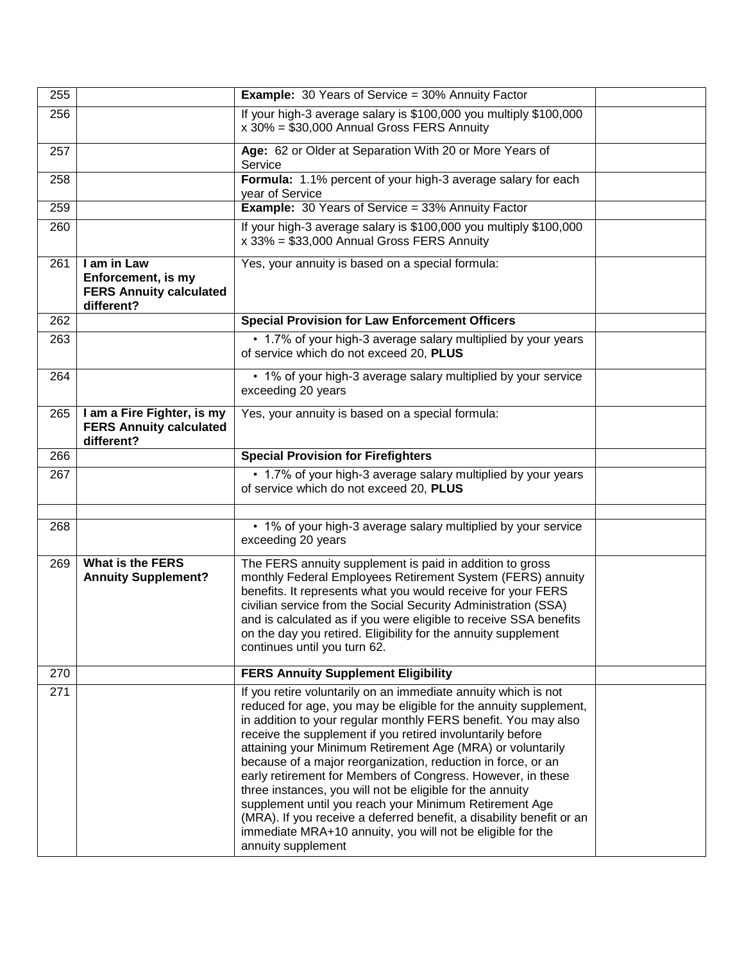| 255 |                                                                                   | <b>Example:</b> 30 Years of Service = 30% Annuity Factor                                                                                                                                                                                                                                                                                                                                                                                                                                                                                                                                                                                                                                                                                           |  |
|-----|-----------------------------------------------------------------------------------|----------------------------------------------------------------------------------------------------------------------------------------------------------------------------------------------------------------------------------------------------------------------------------------------------------------------------------------------------------------------------------------------------------------------------------------------------------------------------------------------------------------------------------------------------------------------------------------------------------------------------------------------------------------------------------------------------------------------------------------------------|--|
| 256 |                                                                                   | If your high-3 average salary is \$100,000 you multiply \$100,000<br>x 30% = \$30,000 Annual Gross FERS Annuity                                                                                                                                                                                                                                                                                                                                                                                                                                                                                                                                                                                                                                    |  |
| 257 |                                                                                   | Age: 62 or Older at Separation With 20 or More Years of<br>Service                                                                                                                                                                                                                                                                                                                                                                                                                                                                                                                                                                                                                                                                                 |  |
| 258 |                                                                                   | Formula: 1.1% percent of your high-3 average salary for each<br>year of Service                                                                                                                                                                                                                                                                                                                                                                                                                                                                                                                                                                                                                                                                    |  |
| 259 |                                                                                   | <b>Example:</b> 30 Years of Service = 33% Annuity Factor                                                                                                                                                                                                                                                                                                                                                                                                                                                                                                                                                                                                                                                                                           |  |
| 260 |                                                                                   | If your high-3 average salary is \$100,000 you multiply \$100,000<br>x 33% = \$33,000 Annual Gross FERS Annuity                                                                                                                                                                                                                                                                                                                                                                                                                                                                                                                                                                                                                                    |  |
| 261 | I am in Law<br>Enforcement, is my<br><b>FERS Annuity calculated</b><br>different? | Yes, your annuity is based on a special formula:                                                                                                                                                                                                                                                                                                                                                                                                                                                                                                                                                                                                                                                                                                   |  |
| 262 |                                                                                   | <b>Special Provision for Law Enforcement Officers</b>                                                                                                                                                                                                                                                                                                                                                                                                                                                                                                                                                                                                                                                                                              |  |
| 263 |                                                                                   | • 1.7% of your high-3 average salary multiplied by your years<br>of service which do not exceed 20, PLUS                                                                                                                                                                                                                                                                                                                                                                                                                                                                                                                                                                                                                                           |  |
| 264 |                                                                                   | • 1% of your high-3 average salary multiplied by your service<br>exceeding 20 years                                                                                                                                                                                                                                                                                                                                                                                                                                                                                                                                                                                                                                                                |  |
| 265 | I am a Fire Fighter, is my<br><b>FERS Annuity calculated</b><br>different?        | Yes, your annuity is based on a special formula:                                                                                                                                                                                                                                                                                                                                                                                                                                                                                                                                                                                                                                                                                                   |  |
| 266 |                                                                                   | <b>Special Provision for Firefighters</b>                                                                                                                                                                                                                                                                                                                                                                                                                                                                                                                                                                                                                                                                                                          |  |
| 267 |                                                                                   | • 1.7% of your high-3 average salary multiplied by your years<br>of service which do not exceed 20, PLUS                                                                                                                                                                                                                                                                                                                                                                                                                                                                                                                                                                                                                                           |  |
|     |                                                                                   |                                                                                                                                                                                                                                                                                                                                                                                                                                                                                                                                                                                                                                                                                                                                                    |  |
| 268 |                                                                                   | • 1% of your high-3 average salary multiplied by your service<br>exceeding 20 years                                                                                                                                                                                                                                                                                                                                                                                                                                                                                                                                                                                                                                                                |  |
| 269 | <b>What is the FERS</b><br><b>Annuity Supplement?</b>                             | The FERS annuity supplement is paid in addition to gross<br>monthly Federal Employees Retirement System (FERS) annuity<br>benefits. It represents what you would receive for your FERS<br>civilian service from the Social Security Administration (SSA)<br>and is calculated as if you were eligible to receive SSA benefits<br>on the day you retired. Eligibility for the annuity supplement<br>continues until you turn 62.                                                                                                                                                                                                                                                                                                                    |  |
| 270 |                                                                                   | <b>FERS Annuity Supplement Eligibility</b>                                                                                                                                                                                                                                                                                                                                                                                                                                                                                                                                                                                                                                                                                                         |  |
| 271 |                                                                                   | If you retire voluntarily on an immediate annuity which is not<br>reduced for age, you may be eligible for the annuity supplement,<br>in addition to your regular monthly FERS benefit. You may also<br>receive the supplement if you retired involuntarily before<br>attaining your Minimum Retirement Age (MRA) or voluntarily<br>because of a major reorganization, reduction in force, or an<br>early retirement for Members of Congress. However, in these<br>three instances, you will not be eligible for the annuity<br>supplement until you reach your Minimum Retirement Age<br>(MRA). If you receive a deferred benefit, a disability benefit or an<br>immediate MRA+10 annuity, you will not be eligible for the<br>annuity supplement |  |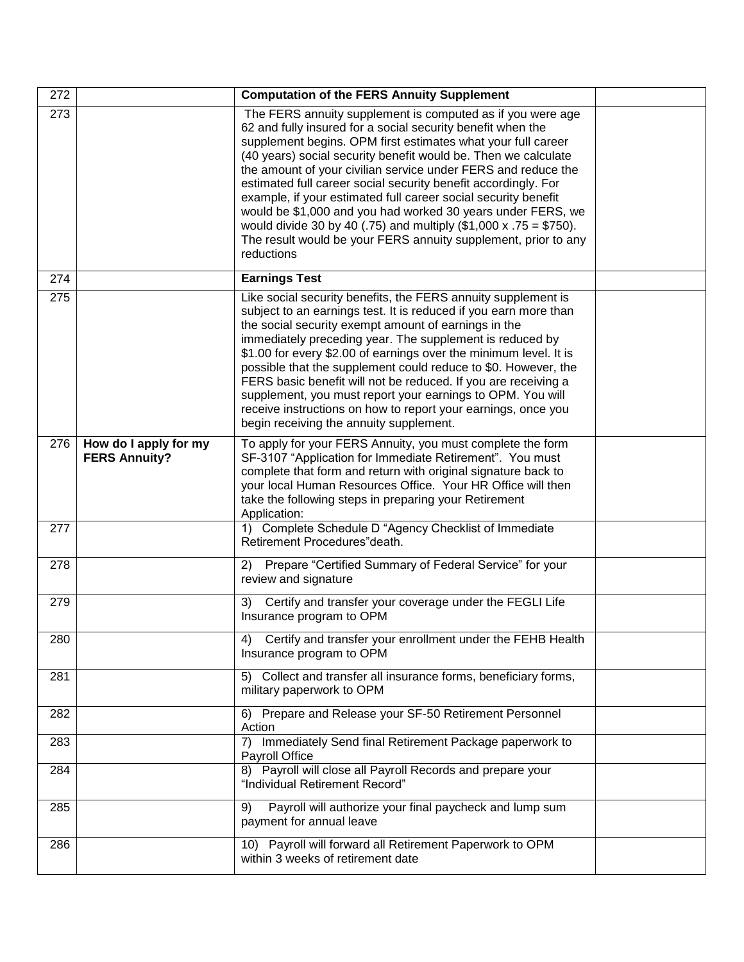| 272 |                                               | <b>Computation of the FERS Annuity Supplement</b>                                                                                                                                                                                                                                                                                                                                                                                                                                                                                                                                                                                                                                            |  |
|-----|-----------------------------------------------|----------------------------------------------------------------------------------------------------------------------------------------------------------------------------------------------------------------------------------------------------------------------------------------------------------------------------------------------------------------------------------------------------------------------------------------------------------------------------------------------------------------------------------------------------------------------------------------------------------------------------------------------------------------------------------------------|--|
| 273 |                                               | The FERS annuity supplement is computed as if you were age<br>62 and fully insured for a social security benefit when the<br>supplement begins. OPM first estimates what your full career<br>(40 years) social security benefit would be. Then we calculate<br>the amount of your civilian service under FERS and reduce the<br>estimated full career social security benefit accordingly. For<br>example, if your estimated full career social security benefit<br>would be \$1,000 and you had worked 30 years under FERS, we<br>would divide 30 by 40 (.75) and multiply $(\$1,000 \times .75 = \$750)$ .<br>The result would be your FERS annuity supplement, prior to any<br>reductions |  |
| 274 |                                               | <b>Earnings Test</b>                                                                                                                                                                                                                                                                                                                                                                                                                                                                                                                                                                                                                                                                         |  |
| 275 |                                               | Like social security benefits, the FERS annuity supplement is<br>subject to an earnings test. It is reduced if you earn more than<br>the social security exempt amount of earnings in the<br>immediately preceding year. The supplement is reduced by<br>\$1.00 for every \$2.00 of earnings over the minimum level. It is<br>possible that the supplement could reduce to \$0. However, the<br>FERS basic benefit will not be reduced. If you are receiving a<br>supplement, you must report your earnings to OPM. You will<br>receive instructions on how to report your earnings, once you<br>begin receiving the annuity supplement.                                                     |  |
| 276 | How do I apply for my<br><b>FERS Annuity?</b> | To apply for your FERS Annuity, you must complete the form<br>SF-3107 "Application for Immediate Retirement". You must<br>complete that form and return with original signature back to<br>your local Human Resources Office. Your HR Office will then<br>take the following steps in preparing your Retirement<br>Application:                                                                                                                                                                                                                                                                                                                                                              |  |
| 277 |                                               | 1) Complete Schedule D "Agency Checklist of Immediate<br>Retirement Procedures" death.                                                                                                                                                                                                                                                                                                                                                                                                                                                                                                                                                                                                       |  |
| 278 |                                               | 2) Prepare "Certified Summary of Federal Service" for your<br>review and signature                                                                                                                                                                                                                                                                                                                                                                                                                                                                                                                                                                                                           |  |
| 279 |                                               | Certify and transfer your coverage under the FEGLI Life<br>3)<br>Insurance program to OPM                                                                                                                                                                                                                                                                                                                                                                                                                                                                                                                                                                                                    |  |
| 280 |                                               | 4) Certify and transfer your enrollment under the FEHB Health<br>Insurance program to OPM                                                                                                                                                                                                                                                                                                                                                                                                                                                                                                                                                                                                    |  |
| 281 |                                               | 5) Collect and transfer all insurance forms, beneficiary forms,<br>military paperwork to OPM                                                                                                                                                                                                                                                                                                                                                                                                                                                                                                                                                                                                 |  |
| 282 |                                               | 6) Prepare and Release your SF-50 Retirement Personnel<br>Action                                                                                                                                                                                                                                                                                                                                                                                                                                                                                                                                                                                                                             |  |
| 283 |                                               | 7) Immediately Send final Retirement Package paperwork to<br>Payroll Office                                                                                                                                                                                                                                                                                                                                                                                                                                                                                                                                                                                                                  |  |
| 284 |                                               | 8) Payroll will close all Payroll Records and prepare your<br>"Individual Retirement Record"                                                                                                                                                                                                                                                                                                                                                                                                                                                                                                                                                                                                 |  |
| 285 |                                               | Payroll will authorize your final paycheck and lump sum<br>9)<br>payment for annual leave                                                                                                                                                                                                                                                                                                                                                                                                                                                                                                                                                                                                    |  |
| 286 |                                               | 10) Payroll will forward all Retirement Paperwork to OPM<br>within 3 weeks of retirement date                                                                                                                                                                                                                                                                                                                                                                                                                                                                                                                                                                                                |  |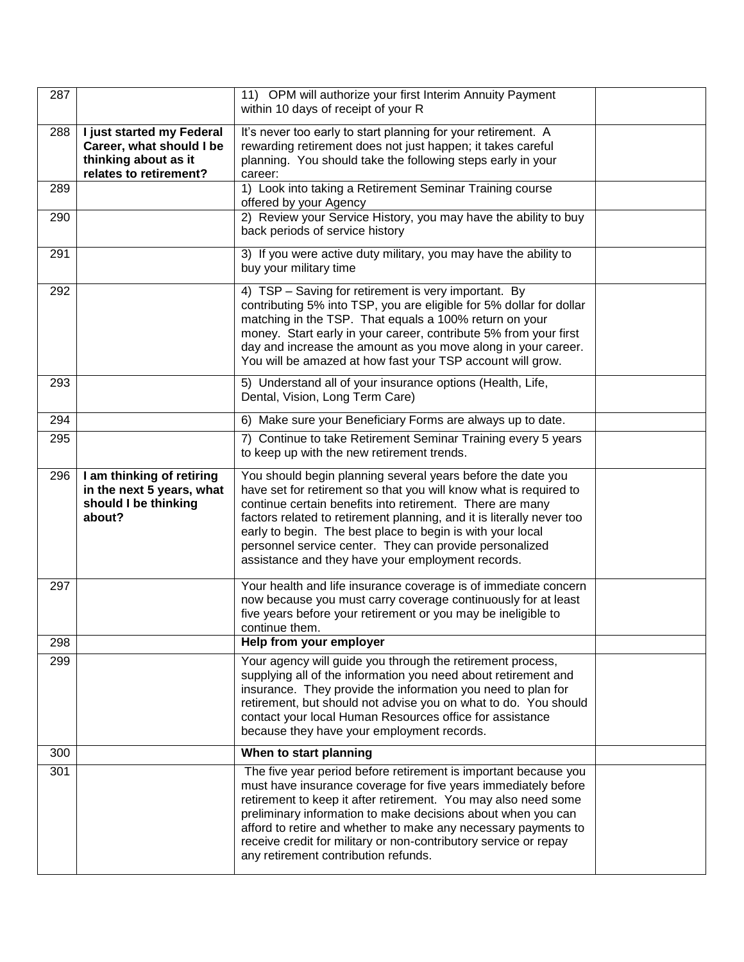| 287 |                                                                                          | 11) OPM will authorize your first Interim Annuity Payment                                                                                                                                                                                                                                                                                                                                                                                            |  |
|-----|------------------------------------------------------------------------------------------|------------------------------------------------------------------------------------------------------------------------------------------------------------------------------------------------------------------------------------------------------------------------------------------------------------------------------------------------------------------------------------------------------------------------------------------------------|--|
|     |                                                                                          | within 10 days of receipt of your R                                                                                                                                                                                                                                                                                                                                                                                                                  |  |
| 288 | I just started my Federal                                                                | It's never too early to start planning for your retirement. A                                                                                                                                                                                                                                                                                                                                                                                        |  |
|     | Career, what should I be                                                                 | rewarding retirement does not just happen; it takes careful                                                                                                                                                                                                                                                                                                                                                                                          |  |
|     | thinking about as it<br>relates to retirement?                                           | planning. You should take the following steps early in your<br>career:                                                                                                                                                                                                                                                                                                                                                                               |  |
| 289 |                                                                                          | 1) Look into taking a Retirement Seminar Training course<br>offered by your Agency                                                                                                                                                                                                                                                                                                                                                                   |  |
| 290 |                                                                                          | 2) Review your Service History, you may have the ability to buy<br>back periods of service history                                                                                                                                                                                                                                                                                                                                                   |  |
| 291 |                                                                                          | 3) If you were active duty military, you may have the ability to<br>buy your military time                                                                                                                                                                                                                                                                                                                                                           |  |
| 292 |                                                                                          | 4) TSP - Saving for retirement is very important. By<br>contributing 5% into TSP, you are eligible for 5% dollar for dollar<br>matching in the TSP. That equals a 100% return on your<br>money. Start early in your career, contribute 5% from your first<br>day and increase the amount as you move along in your career.<br>You will be amazed at how fast your TSP account will grow.                                                             |  |
| 293 |                                                                                          | 5) Understand all of your insurance options (Health, Life,<br>Dental, Vision, Long Term Care)                                                                                                                                                                                                                                                                                                                                                        |  |
| 294 |                                                                                          | 6) Make sure your Beneficiary Forms are always up to date.                                                                                                                                                                                                                                                                                                                                                                                           |  |
| 295 |                                                                                          | 7) Continue to take Retirement Seminar Training every 5 years<br>to keep up with the new retirement trends.                                                                                                                                                                                                                                                                                                                                          |  |
| 296 | I am thinking of retiring<br>in the next 5 years, what<br>should I be thinking<br>about? | You should begin planning several years before the date you<br>have set for retirement so that you will know what is required to<br>continue certain benefits into retirement. There are many<br>factors related to retirement planning, and it is literally never too<br>early to begin. The best place to begin is with your local<br>personnel service center. They can provide personalized<br>assistance and they have your employment records. |  |
| 297 |                                                                                          | Your health and life insurance coverage is of immediate concern<br>now because you must carry coverage continuously for at least<br>five years before your retirement or you may be ineligible to<br>continue them.                                                                                                                                                                                                                                  |  |
| 298 |                                                                                          | Help from your employer                                                                                                                                                                                                                                                                                                                                                                                                                              |  |
| 299 |                                                                                          | Your agency will guide you through the retirement process,<br>supplying all of the information you need about retirement and<br>insurance. They provide the information you need to plan for<br>retirement, but should not advise you on what to do. You should<br>contact your local Human Resources office for assistance<br>because they have your employment records.                                                                            |  |
| 300 |                                                                                          | When to start planning                                                                                                                                                                                                                                                                                                                                                                                                                               |  |
| 301 |                                                                                          | The five year period before retirement is important because you<br>must have insurance coverage for five years immediately before<br>retirement to keep it after retirement. You may also need some<br>preliminary information to make decisions about when you can<br>afford to retire and whether to make any necessary payments to<br>receive credit for military or non-contributory service or repay<br>any retirement contribution refunds.    |  |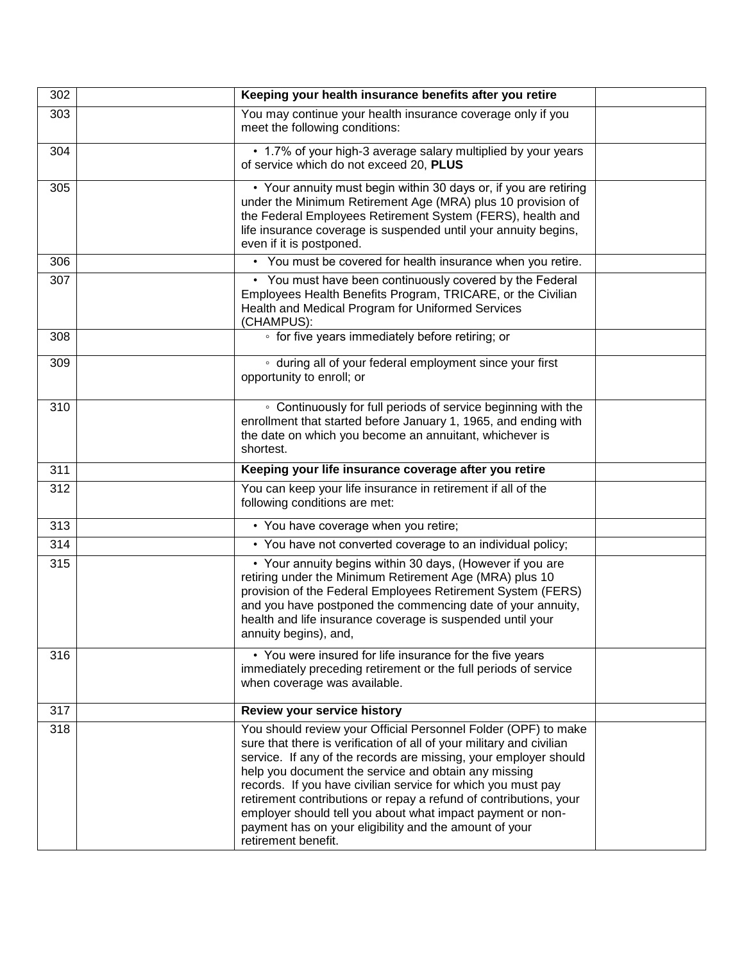| 302 | Keeping your health insurance benefits after you retire                                                                                                                                                                                                                                                                                                                                                                                                                                                                                                |  |
|-----|--------------------------------------------------------------------------------------------------------------------------------------------------------------------------------------------------------------------------------------------------------------------------------------------------------------------------------------------------------------------------------------------------------------------------------------------------------------------------------------------------------------------------------------------------------|--|
| 303 | You may continue your health insurance coverage only if you<br>meet the following conditions:                                                                                                                                                                                                                                                                                                                                                                                                                                                          |  |
| 304 | • 1.7% of your high-3 average salary multiplied by your years<br>of service which do not exceed 20, PLUS                                                                                                                                                                                                                                                                                                                                                                                                                                               |  |
| 305 | • Your annuity must begin within 30 days or, if you are retiring<br>under the Minimum Retirement Age (MRA) plus 10 provision of<br>the Federal Employees Retirement System (FERS), health and<br>life insurance coverage is suspended until your annuity begins,<br>even if it is postponed.                                                                                                                                                                                                                                                           |  |
| 306 | • You must be covered for health insurance when you retire.                                                                                                                                                                                                                                                                                                                                                                                                                                                                                            |  |
| 307 | • You must have been continuously covered by the Federal<br>Employees Health Benefits Program, TRICARE, or the Civilian<br>Health and Medical Program for Uniformed Services<br>(CHAMPUS):                                                                                                                                                                                                                                                                                                                                                             |  |
| 308 | • for five years immediately before retiring; or                                                                                                                                                                                                                                                                                                                                                                                                                                                                                                       |  |
| 309 | • during all of your federal employment since your first<br>opportunity to enroll; or                                                                                                                                                                                                                                                                                                                                                                                                                                                                  |  |
| 310 | • Continuously for full periods of service beginning with the<br>enrollment that started before January 1, 1965, and ending with<br>the date on which you become an annuitant, whichever is<br>shortest.                                                                                                                                                                                                                                                                                                                                               |  |
| 311 | Keeping your life insurance coverage after you retire                                                                                                                                                                                                                                                                                                                                                                                                                                                                                                  |  |
| 312 | You can keep your life insurance in retirement if all of the<br>following conditions are met:                                                                                                                                                                                                                                                                                                                                                                                                                                                          |  |
| 313 | • You have coverage when you retire;                                                                                                                                                                                                                                                                                                                                                                                                                                                                                                                   |  |
| 314 | • You have not converted coverage to an individual policy;                                                                                                                                                                                                                                                                                                                                                                                                                                                                                             |  |
| 315 | • Your annuity begins within 30 days, (However if you are<br>retiring under the Minimum Retirement Age (MRA) plus 10<br>provision of the Federal Employees Retirement System (FERS)<br>and you have postponed the commencing date of your annuity,<br>health and life insurance coverage is suspended until your<br>annuity begins), and,                                                                                                                                                                                                              |  |
| 316 | • You were insured for life insurance for the five years<br>immediately preceding retirement or the full periods of service<br>when coverage was available.                                                                                                                                                                                                                                                                                                                                                                                            |  |
| 317 | Review your service history                                                                                                                                                                                                                                                                                                                                                                                                                                                                                                                            |  |
| 318 | You should review your Official Personnel Folder (OPF) to make<br>sure that there is verification of all of your military and civilian<br>service. If any of the records are missing, your employer should<br>help you document the service and obtain any missing<br>records. If you have civilian service for which you must pay<br>retirement contributions or repay a refund of contributions, your<br>employer should tell you about what impact payment or non-<br>payment has on your eligibility and the amount of your<br>retirement benefit. |  |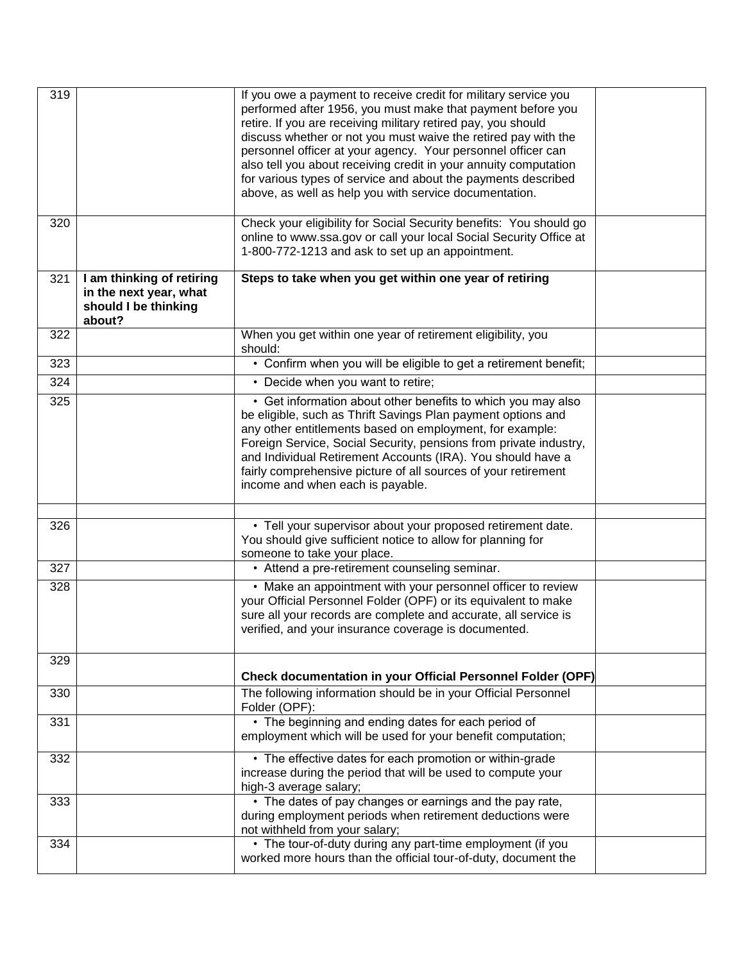| 319 |                                                                                       | If you owe a payment to receive credit for military service you<br>performed after 1956, you must make that payment before you<br>retire. If you are receiving military retired pay, you should<br>discuss whether or not you must waive the retired pay with the<br>personnel officer at your agency. Your personnel officer can<br>also tell you about receiving credit in your annuity computation<br>for various types of service and about the payments described<br>above, as well as help you with service documentation. |  |
|-----|---------------------------------------------------------------------------------------|----------------------------------------------------------------------------------------------------------------------------------------------------------------------------------------------------------------------------------------------------------------------------------------------------------------------------------------------------------------------------------------------------------------------------------------------------------------------------------------------------------------------------------|--|
| 320 |                                                                                       | Check your eligibility for Social Security benefits: You should go<br>online to www.ssa.gov or call your local Social Security Office at<br>1-800-772-1213 and ask to set up an appointment.                                                                                                                                                                                                                                                                                                                                     |  |
| 321 | I am thinking of retiring<br>in the next year, what<br>should I be thinking<br>about? | Steps to take when you get within one year of retiring                                                                                                                                                                                                                                                                                                                                                                                                                                                                           |  |
| 322 |                                                                                       | When you get within one year of retirement eligibility, you<br>should:                                                                                                                                                                                                                                                                                                                                                                                                                                                           |  |
| 323 |                                                                                       | • Confirm when you will be eligible to get a retirement benefit;                                                                                                                                                                                                                                                                                                                                                                                                                                                                 |  |
| 324 |                                                                                       | • Decide when you want to retire;                                                                                                                                                                                                                                                                                                                                                                                                                                                                                                |  |
| 325 |                                                                                       | • Get information about other benefits to which you may also<br>be eligible, such as Thrift Savings Plan payment options and<br>any other entitlements based on employment, for example:<br>Foreign Service, Social Security, pensions from private industry,<br>and Individual Retirement Accounts (IRA). You should have a<br>fairly comprehensive picture of all sources of your retirement<br>income and when each is payable.                                                                                               |  |
|     |                                                                                       |                                                                                                                                                                                                                                                                                                                                                                                                                                                                                                                                  |  |
| 326 |                                                                                       | • Tell your supervisor about your proposed retirement date.<br>You should give sufficient notice to allow for planning for<br>someone to take your place.                                                                                                                                                                                                                                                                                                                                                                        |  |
| 327 |                                                                                       | • Attend a pre-retirement counseling seminar.                                                                                                                                                                                                                                                                                                                                                                                                                                                                                    |  |
| 328 |                                                                                       | • Make an appointment with your personnel officer to review<br>your Official Personnel Folder (OPF) or its equivalent to make<br>sure all your records are complete and accurate, all service is<br>verified, and your insurance coverage is documented.                                                                                                                                                                                                                                                                         |  |
| 329 |                                                                                       | <b>Check documentation in your Official Personnel Folder (OPF)</b>                                                                                                                                                                                                                                                                                                                                                                                                                                                               |  |
| 330 |                                                                                       | The following information should be in your Official Personnel<br>Folder (OPF):                                                                                                                                                                                                                                                                                                                                                                                                                                                  |  |
| 331 |                                                                                       | • The beginning and ending dates for each period of<br>employment which will be used for your benefit computation;                                                                                                                                                                                                                                                                                                                                                                                                               |  |
| 332 |                                                                                       | • The effective dates for each promotion or within-grade<br>increase during the period that will be used to compute your<br>high-3 average salary;                                                                                                                                                                                                                                                                                                                                                                               |  |
| 333 |                                                                                       | • The dates of pay changes or earnings and the pay rate,<br>during employment periods when retirement deductions were<br>not withheld from your salary;                                                                                                                                                                                                                                                                                                                                                                          |  |
| 334 |                                                                                       | • The tour-of-duty during any part-time employment (if you<br>worked more hours than the official tour-of-duty, document the                                                                                                                                                                                                                                                                                                                                                                                                     |  |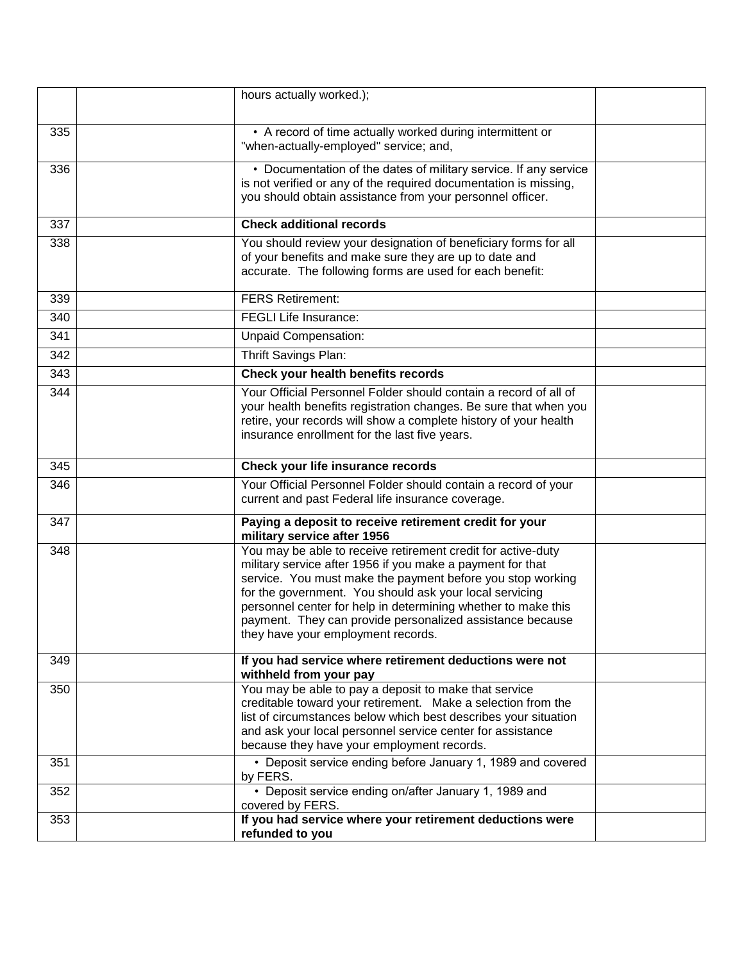|     | hours actually worked.);                                                                                                                                                                                                                                                                                                                                                                                                |  |
|-----|-------------------------------------------------------------------------------------------------------------------------------------------------------------------------------------------------------------------------------------------------------------------------------------------------------------------------------------------------------------------------------------------------------------------------|--|
| 335 | • A record of time actually worked during intermittent or<br>"when-actually-employed" service; and,                                                                                                                                                                                                                                                                                                                     |  |
| 336 | • Documentation of the dates of military service. If any service<br>is not verified or any of the required documentation is missing,<br>you should obtain assistance from your personnel officer.                                                                                                                                                                                                                       |  |
| 337 | <b>Check additional records</b>                                                                                                                                                                                                                                                                                                                                                                                         |  |
| 338 | You should review your designation of beneficiary forms for all<br>of your benefits and make sure they are up to date and<br>accurate. The following forms are used for each benefit:                                                                                                                                                                                                                                   |  |
| 339 | <b>FERS Retirement:</b>                                                                                                                                                                                                                                                                                                                                                                                                 |  |
| 340 | <b>FEGLI Life Insurance:</b>                                                                                                                                                                                                                                                                                                                                                                                            |  |
| 341 | <b>Unpaid Compensation:</b>                                                                                                                                                                                                                                                                                                                                                                                             |  |
| 342 | Thrift Savings Plan:                                                                                                                                                                                                                                                                                                                                                                                                    |  |
| 343 | <b>Check your health benefits records</b>                                                                                                                                                                                                                                                                                                                                                                               |  |
| 344 | Your Official Personnel Folder should contain a record of all of<br>your health benefits registration changes. Be sure that when you<br>retire, your records will show a complete history of your health<br>insurance enrollment for the last five years.                                                                                                                                                               |  |
| 345 | Check your life insurance records                                                                                                                                                                                                                                                                                                                                                                                       |  |
| 346 | Your Official Personnel Folder should contain a record of your<br>current and past Federal life insurance coverage.                                                                                                                                                                                                                                                                                                     |  |
| 347 | Paying a deposit to receive retirement credit for your<br>military service after 1956                                                                                                                                                                                                                                                                                                                                   |  |
| 348 | You may be able to receive retirement credit for active-duty<br>military service after 1956 if you make a payment for that<br>service. You must make the payment before you stop working<br>for the government. You should ask your local servicing<br>personnel center for help in determining whether to make this<br>payment. They can provide personalized assistance because<br>they have your employment records. |  |
| 349 | If you had service where retirement deductions were not<br>withheld from your pay                                                                                                                                                                                                                                                                                                                                       |  |
| 350 | You may be able to pay a deposit to make that service<br>creditable toward your retirement. Make a selection from the<br>list of circumstances below which best describes your situation<br>and ask your local personnel service center for assistance<br>because they have your employment records.                                                                                                                    |  |
| 351 | • Deposit service ending before January 1, 1989 and covered<br>by FERS.                                                                                                                                                                                                                                                                                                                                                 |  |
| 352 | • Deposit service ending on/after January 1, 1989 and<br>covered by FERS.                                                                                                                                                                                                                                                                                                                                               |  |
| 353 | If you had service where your retirement deductions were<br>refunded to you                                                                                                                                                                                                                                                                                                                                             |  |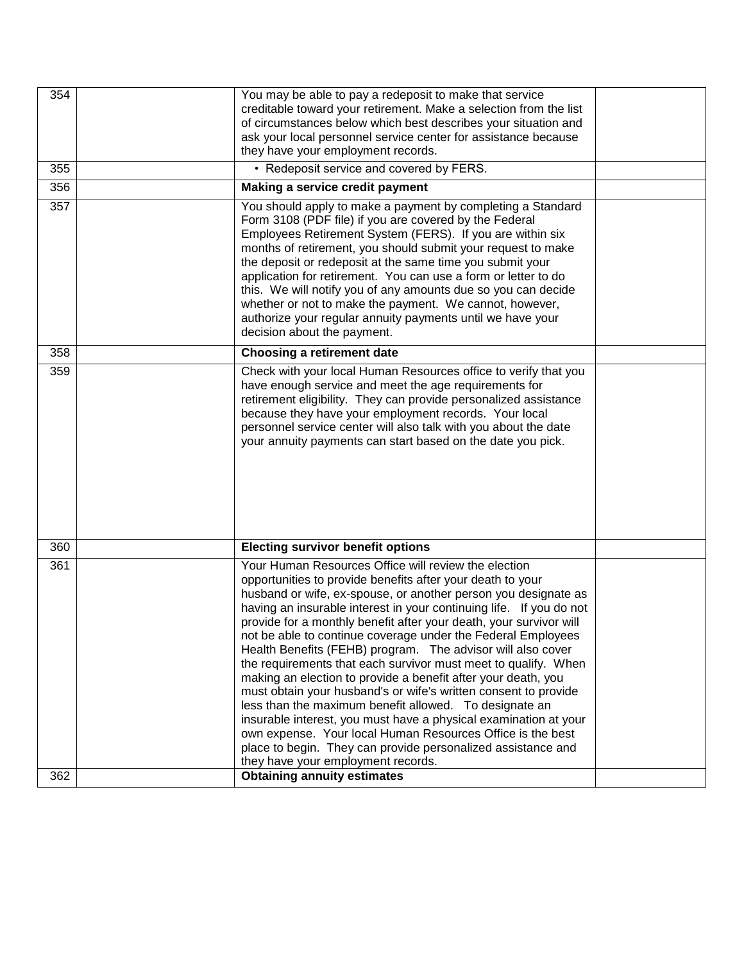| 354 | You may be able to pay a redeposit to make that service<br>creditable toward your retirement. Make a selection from the list<br>of circumstances below which best describes your situation and<br>ask your local personnel service center for assistance because<br>they have your employment records.                                                                                                                                                                                                                                                                                                                                                                                                                                                                                                                                                                                                                                                                   |  |
|-----|--------------------------------------------------------------------------------------------------------------------------------------------------------------------------------------------------------------------------------------------------------------------------------------------------------------------------------------------------------------------------------------------------------------------------------------------------------------------------------------------------------------------------------------------------------------------------------------------------------------------------------------------------------------------------------------------------------------------------------------------------------------------------------------------------------------------------------------------------------------------------------------------------------------------------------------------------------------------------|--|
| 355 | • Redeposit service and covered by FERS.                                                                                                                                                                                                                                                                                                                                                                                                                                                                                                                                                                                                                                                                                                                                                                                                                                                                                                                                 |  |
| 356 | Making a service credit payment                                                                                                                                                                                                                                                                                                                                                                                                                                                                                                                                                                                                                                                                                                                                                                                                                                                                                                                                          |  |
| 357 | You should apply to make a payment by completing a Standard<br>Form 3108 (PDF file) if you are covered by the Federal<br>Employees Retirement System (FERS). If you are within six<br>months of retirement, you should submit your request to make<br>the deposit or redeposit at the same time you submit your<br>application for retirement. You can use a form or letter to do<br>this. We will notify you of any amounts due so you can decide<br>whether or not to make the payment. We cannot, however,<br>authorize your regular annuity payments until we have your<br>decision about the payment.                                                                                                                                                                                                                                                                                                                                                               |  |
| 358 | <b>Choosing a retirement date</b>                                                                                                                                                                                                                                                                                                                                                                                                                                                                                                                                                                                                                                                                                                                                                                                                                                                                                                                                        |  |
| 359 | Check with your local Human Resources office to verify that you<br>have enough service and meet the age requirements for<br>retirement eligibility. They can provide personalized assistance<br>because they have your employment records. Your local<br>personnel service center will also talk with you about the date<br>your annuity payments can start based on the date you pick.                                                                                                                                                                                                                                                                                                                                                                                                                                                                                                                                                                                  |  |
| 360 | <b>Electing survivor benefit options</b>                                                                                                                                                                                                                                                                                                                                                                                                                                                                                                                                                                                                                                                                                                                                                                                                                                                                                                                                 |  |
| 361 | Your Human Resources Office will review the election<br>opportunities to provide benefits after your death to your<br>husband or wife, ex-spouse, or another person you designate as<br>having an insurable interest in your continuing life. If you do not<br>provide for a monthly benefit after your death, your survivor will<br>not be able to continue coverage under the Federal Employees<br>Health Benefits (FEHB) program. The advisor will also cover<br>the requirements that each survivor must meet to qualify. When<br>making an election to provide a benefit after your death, you<br>must obtain your husband's or wife's written consent to provide<br>less than the maximum benefit allowed. To designate an<br>insurable interest, you must have a physical examination at your<br>own expense. Your local Human Resources Office is the best<br>place to begin. They can provide personalized assistance and<br>they have your employment records. |  |
| 362 | <b>Obtaining annuity estimates</b>                                                                                                                                                                                                                                                                                                                                                                                                                                                                                                                                                                                                                                                                                                                                                                                                                                                                                                                                       |  |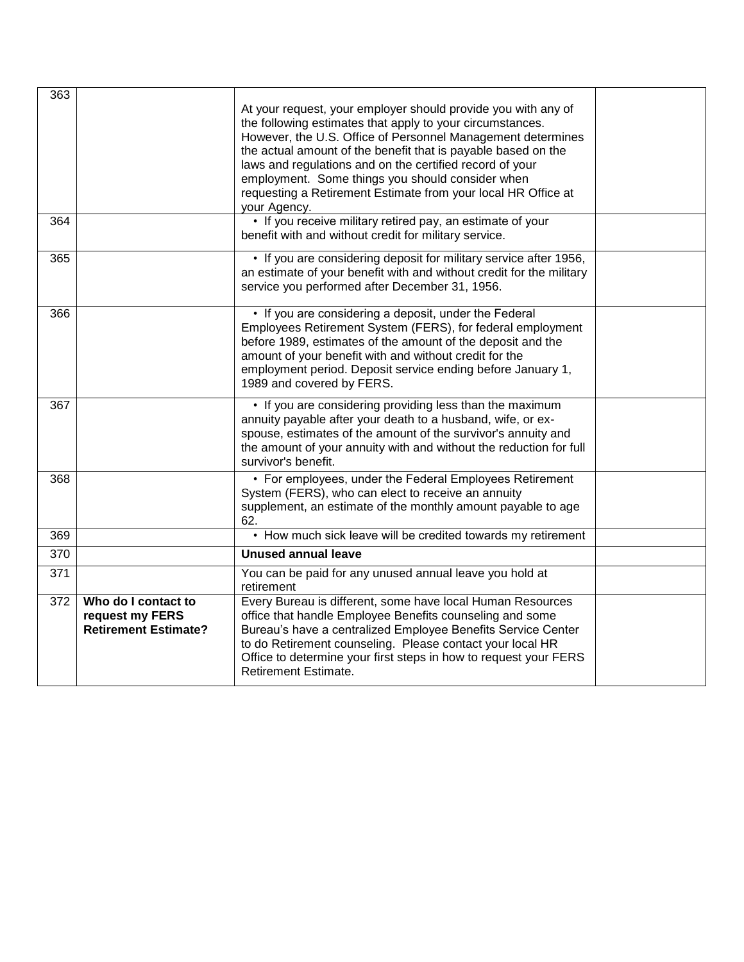| 363 |                                                                       | At your request, your employer should provide you with any of<br>the following estimates that apply to your circumstances.<br>However, the U.S. Office of Personnel Management determines<br>the actual amount of the benefit that is payable based on the<br>laws and regulations and on the certified record of your<br>employment. Some things you should consider when<br>requesting a Retirement Estimate from your local HR Office at<br>your Agency. |  |
|-----|-----------------------------------------------------------------------|-------------------------------------------------------------------------------------------------------------------------------------------------------------------------------------------------------------------------------------------------------------------------------------------------------------------------------------------------------------------------------------------------------------------------------------------------------------|--|
| 364 |                                                                       | • If you receive military retired pay, an estimate of your<br>benefit with and without credit for military service.                                                                                                                                                                                                                                                                                                                                         |  |
| 365 |                                                                       | • If you are considering deposit for military service after 1956,<br>an estimate of your benefit with and without credit for the military<br>service you performed after December 31, 1956.                                                                                                                                                                                                                                                                 |  |
| 366 |                                                                       | • If you are considering a deposit, under the Federal<br>Employees Retirement System (FERS), for federal employment<br>before 1989, estimates of the amount of the deposit and the<br>amount of your benefit with and without credit for the<br>employment period. Deposit service ending before January 1,<br>1989 and covered by FERS.                                                                                                                    |  |
| 367 |                                                                       | • If you are considering providing less than the maximum<br>annuity payable after your death to a husband, wife, or ex-<br>spouse, estimates of the amount of the survivor's annuity and<br>the amount of your annuity with and without the reduction for full<br>survivor's benefit.                                                                                                                                                                       |  |
| 368 |                                                                       | • For employees, under the Federal Employees Retirement<br>System (FERS), who can elect to receive an annuity<br>supplement, an estimate of the monthly amount payable to age<br>62.                                                                                                                                                                                                                                                                        |  |
| 369 |                                                                       | • How much sick leave will be credited towards my retirement                                                                                                                                                                                                                                                                                                                                                                                                |  |
| 370 |                                                                       | <b>Unused annual leave</b>                                                                                                                                                                                                                                                                                                                                                                                                                                  |  |
| 371 |                                                                       | You can be paid for any unused annual leave you hold at<br>retirement                                                                                                                                                                                                                                                                                                                                                                                       |  |
| 372 | Who do I contact to<br>request my FERS<br><b>Retirement Estimate?</b> | Every Bureau is different, some have local Human Resources<br>office that handle Employee Benefits counseling and some<br>Bureau's have a centralized Employee Benefits Service Center<br>to do Retirement counseling. Please contact your local HR<br>Office to determine your first steps in how to request your FERS<br><b>Retirement Estimate.</b>                                                                                                      |  |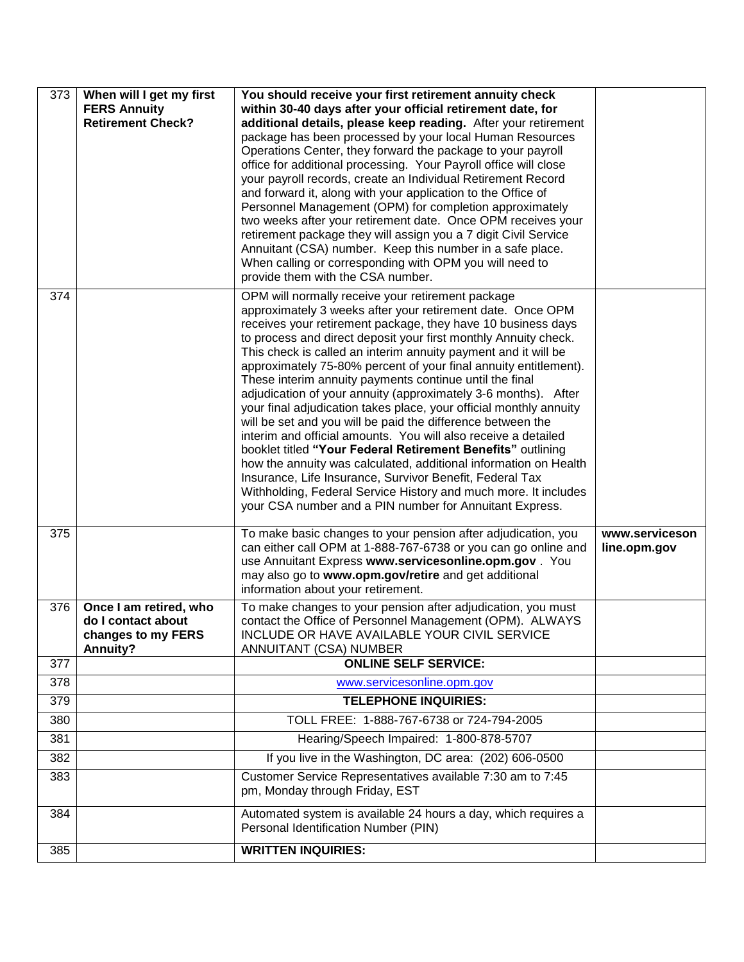| 373 | When will I get my first<br><b>FERS Annuity</b><br><b>Retirement Check?</b>    | You should receive your first retirement annuity check<br>within 30-40 days after your official retirement date, for<br>additional details, please keep reading. After your retirement<br>package has been processed by your local Human Resources<br>Operations Center, they forward the package to your payroll<br>office for additional processing. Your Payroll office will close<br>your payroll records, create an Individual Retirement Record<br>and forward it, along with your application to the Office of<br>Personnel Management (OPM) for completion approximately<br>two weeks after your retirement date. Once OPM receives your<br>retirement package they will assign you a 7 digit Civil Service<br>Annuitant (CSA) number. Keep this number in a safe place.<br>When calling or corresponding with OPM you will need to<br>provide them with the CSA number.                                                                                                                                                                          |                                |
|-----|--------------------------------------------------------------------------------|-----------------------------------------------------------------------------------------------------------------------------------------------------------------------------------------------------------------------------------------------------------------------------------------------------------------------------------------------------------------------------------------------------------------------------------------------------------------------------------------------------------------------------------------------------------------------------------------------------------------------------------------------------------------------------------------------------------------------------------------------------------------------------------------------------------------------------------------------------------------------------------------------------------------------------------------------------------------------------------------------------------------------------------------------------------|--------------------------------|
| 374 |                                                                                | OPM will normally receive your retirement package<br>approximately 3 weeks after your retirement date. Once OPM<br>receives your retirement package, they have 10 business days<br>to process and direct deposit your first monthly Annuity check.<br>This check is called an interim annuity payment and it will be<br>approximately 75-80% percent of your final annuity entitlement).<br>These interim annuity payments continue until the final<br>adjudication of your annuity (approximately 3-6 months). After<br>your final adjudication takes place, your official monthly annuity<br>will be set and you will be paid the difference between the<br>interim and official amounts. You will also receive a detailed<br>booklet titled "Your Federal Retirement Benefits" outlining<br>how the annuity was calculated, additional information on Health<br>Insurance, Life Insurance, Survivor Benefit, Federal Tax<br>Withholding, Federal Service History and much more. It includes<br>your CSA number and a PIN number for Annuitant Express. |                                |
| 375 |                                                                                | To make basic changes to your pension after adjudication, you<br>can either call OPM at 1-888-767-6738 or you can go online and<br>use Annuitant Express www.servicesonline.opm.gov . You<br>may also go to www.opm.gov/retire and get additional<br>information about your retirement.                                                                                                                                                                                                                                                                                                                                                                                                                                                                                                                                                                                                                                                                                                                                                                   | www.serviceson<br>line.opm.gov |
| 376 | Once I am retired, who<br>do I contact about<br>changes to my FERS<br>Annuity? | To make changes to your pension after adjudication, you must<br>contact the Office of Personnel Management (OPM). ALWAYS<br>INCLUDE OR HAVE AVAILABLE YOUR CIVIL SERVICE<br>ANNUITANT (CSA) NUMBER                                                                                                                                                                                                                                                                                                                                                                                                                                                                                                                                                                                                                                                                                                                                                                                                                                                        |                                |
| 377 |                                                                                | <b>ONLINE SELF SERVICE:</b>                                                                                                                                                                                                                                                                                                                                                                                                                                                                                                                                                                                                                                                                                                                                                                                                                                                                                                                                                                                                                               |                                |
| 378 |                                                                                | www.servicesonline.opm.gov                                                                                                                                                                                                                                                                                                                                                                                                                                                                                                                                                                                                                                                                                                                                                                                                                                                                                                                                                                                                                                |                                |
| 379 |                                                                                | <b>TELEPHONE INQUIRIES:</b>                                                                                                                                                                                                                                                                                                                                                                                                                                                                                                                                                                                                                                                                                                                                                                                                                                                                                                                                                                                                                               |                                |
| 380 |                                                                                | TOLL FREE: 1-888-767-6738 or 724-794-2005                                                                                                                                                                                                                                                                                                                                                                                                                                                                                                                                                                                                                                                                                                                                                                                                                                                                                                                                                                                                                 |                                |
| 381 |                                                                                | Hearing/Speech Impaired: 1-800-878-5707                                                                                                                                                                                                                                                                                                                                                                                                                                                                                                                                                                                                                                                                                                                                                                                                                                                                                                                                                                                                                   |                                |
| 382 |                                                                                | If you live in the Washington, DC area: (202) 606-0500                                                                                                                                                                                                                                                                                                                                                                                                                                                                                                                                                                                                                                                                                                                                                                                                                                                                                                                                                                                                    |                                |
| 383 |                                                                                | Customer Service Representatives available 7:30 am to 7:45<br>pm, Monday through Friday, EST                                                                                                                                                                                                                                                                                                                                                                                                                                                                                                                                                                                                                                                                                                                                                                                                                                                                                                                                                              |                                |
| 384 |                                                                                | Automated system is available 24 hours a day, which requires a<br>Personal Identification Number (PIN)                                                                                                                                                                                                                                                                                                                                                                                                                                                                                                                                                                                                                                                                                                                                                                                                                                                                                                                                                    |                                |
| 385 |                                                                                | <b>WRITTEN INQUIRIES:</b>                                                                                                                                                                                                                                                                                                                                                                                                                                                                                                                                                                                                                                                                                                                                                                                                                                                                                                                                                                                                                                 |                                |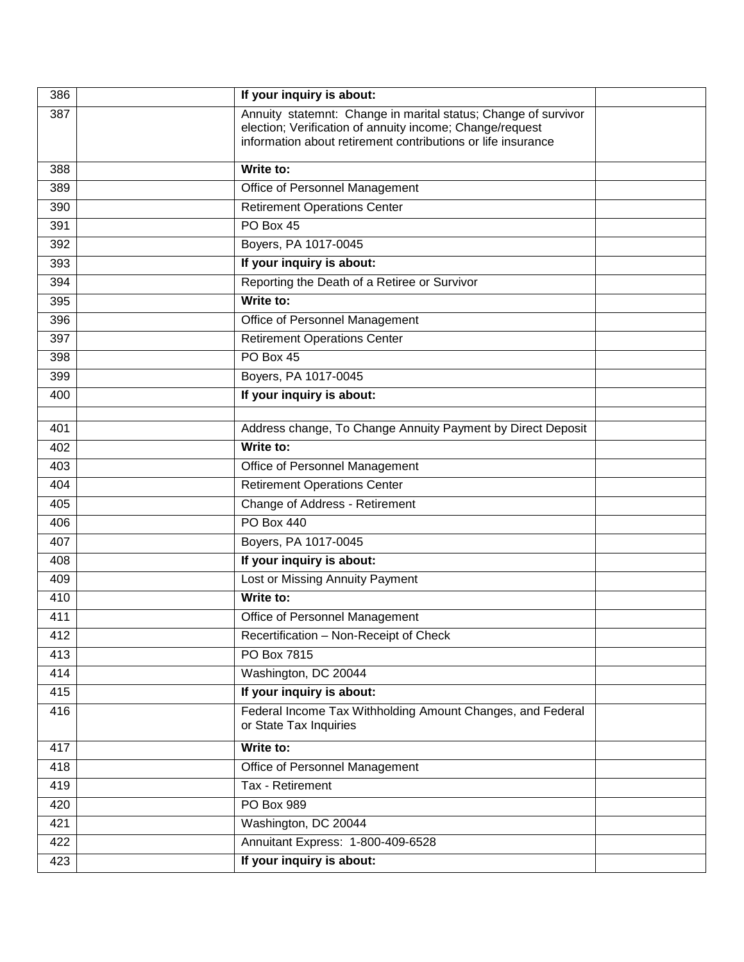| 386 | If your inquiry is about:                                                                                                                                                                  |  |
|-----|--------------------------------------------------------------------------------------------------------------------------------------------------------------------------------------------|--|
| 387 | Annuity statemnt: Change in marital status; Change of survivor<br>election; Verification of annuity income; Change/request<br>information about retirement contributions or life insurance |  |
| 388 | Write to:                                                                                                                                                                                  |  |
| 389 | Office of Personnel Management                                                                                                                                                             |  |
| 390 | <b>Retirement Operations Center</b>                                                                                                                                                        |  |
| 391 | PO Box 45                                                                                                                                                                                  |  |
| 392 | Boyers, PA 1017-0045                                                                                                                                                                       |  |
| 393 | If your inquiry is about:                                                                                                                                                                  |  |
| 394 | Reporting the Death of a Retiree or Survivor                                                                                                                                               |  |
| 395 | Write to:                                                                                                                                                                                  |  |
| 396 | Office of Personnel Management                                                                                                                                                             |  |
| 397 | <b>Retirement Operations Center</b>                                                                                                                                                        |  |
| 398 | PO Box 45                                                                                                                                                                                  |  |
| 399 | Boyers, PA 1017-0045                                                                                                                                                                       |  |
| 400 | If your inquiry is about:                                                                                                                                                                  |  |
|     |                                                                                                                                                                                            |  |
| 401 | Address change, To Change Annuity Payment by Direct Deposit                                                                                                                                |  |
| 402 | Write to:                                                                                                                                                                                  |  |
| 403 | Office of Personnel Management                                                                                                                                                             |  |
| 404 | <b>Retirement Operations Center</b>                                                                                                                                                        |  |
| 405 | Change of Address - Retirement                                                                                                                                                             |  |
| 406 | PO Box 440                                                                                                                                                                                 |  |
| 407 | Boyers, PA 1017-0045                                                                                                                                                                       |  |
| 408 | If your inquiry is about:                                                                                                                                                                  |  |
| 409 | Lost or Missing Annuity Payment                                                                                                                                                            |  |
| 410 | Write to:                                                                                                                                                                                  |  |
| 411 | Office of Personnel Management                                                                                                                                                             |  |
| 412 | Recertification - Non-Receipt of Check                                                                                                                                                     |  |
| 413 | PO Box 7815                                                                                                                                                                                |  |
| 414 | Washington, DC 20044                                                                                                                                                                       |  |
| 415 | If your inquiry is about:                                                                                                                                                                  |  |
| 416 | Federal Income Tax Withholding Amount Changes, and Federal<br>or State Tax Inquiries                                                                                                       |  |
| 417 | Write to:                                                                                                                                                                                  |  |
| 418 | Office of Personnel Management                                                                                                                                                             |  |
| 419 | Tax - Retirement                                                                                                                                                                           |  |
| 420 | PO Box 989                                                                                                                                                                                 |  |
| 421 | Washington, DC 20044                                                                                                                                                                       |  |
| 422 | Annuitant Express: 1-800-409-6528                                                                                                                                                          |  |
| 423 | If your inquiry is about:                                                                                                                                                                  |  |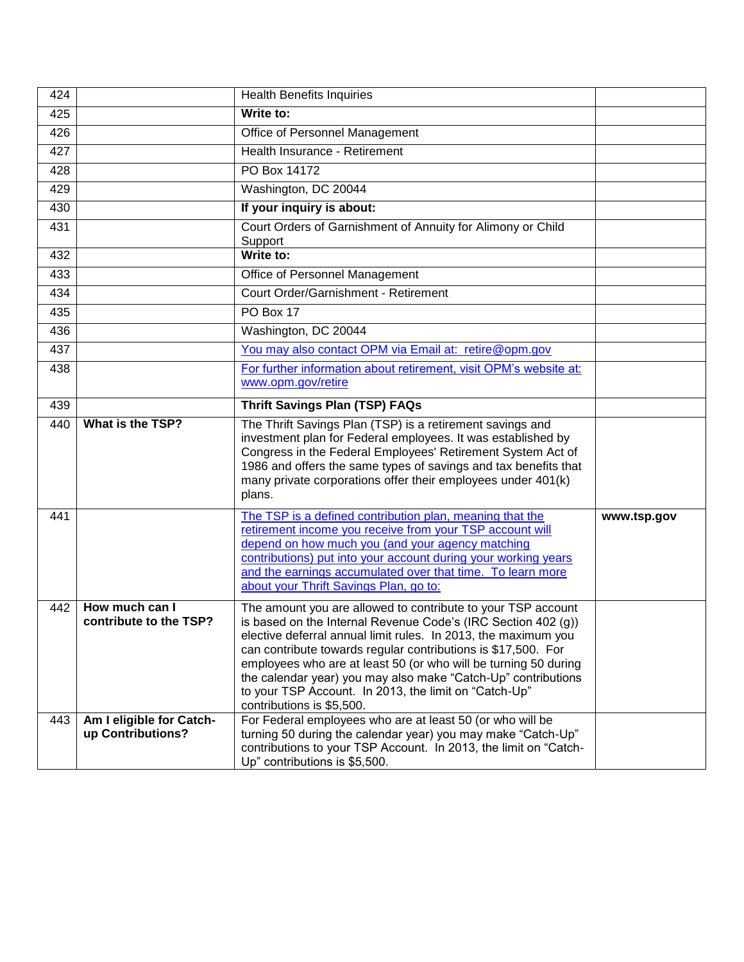| 424 |                                               | <b>Health Benefits Inquiries</b>                                                                                                                                                                                                                                                                                                                                                                                                                                                           |             |
|-----|-----------------------------------------------|--------------------------------------------------------------------------------------------------------------------------------------------------------------------------------------------------------------------------------------------------------------------------------------------------------------------------------------------------------------------------------------------------------------------------------------------------------------------------------------------|-------------|
| 425 |                                               | Write to:                                                                                                                                                                                                                                                                                                                                                                                                                                                                                  |             |
| 426 |                                               | Office of Personnel Management                                                                                                                                                                                                                                                                                                                                                                                                                                                             |             |
| 427 |                                               | Health Insurance - Retirement                                                                                                                                                                                                                                                                                                                                                                                                                                                              |             |
| 428 |                                               | PO Box 14172                                                                                                                                                                                                                                                                                                                                                                                                                                                                               |             |
| 429 |                                               | Washington, DC 20044                                                                                                                                                                                                                                                                                                                                                                                                                                                                       |             |
| 430 |                                               | If your inquiry is about:                                                                                                                                                                                                                                                                                                                                                                                                                                                                  |             |
| 431 |                                               | Court Orders of Garnishment of Annuity for Alimony or Child<br>Support                                                                                                                                                                                                                                                                                                                                                                                                                     |             |
| 432 |                                               | Write to:                                                                                                                                                                                                                                                                                                                                                                                                                                                                                  |             |
| 433 |                                               | Office of Personnel Management                                                                                                                                                                                                                                                                                                                                                                                                                                                             |             |
| 434 |                                               | Court Order/Garnishment - Retirement                                                                                                                                                                                                                                                                                                                                                                                                                                                       |             |
| 435 |                                               | PO Box 17                                                                                                                                                                                                                                                                                                                                                                                                                                                                                  |             |
| 436 |                                               | Washington, DC 20044                                                                                                                                                                                                                                                                                                                                                                                                                                                                       |             |
| 437 |                                               | You may also contact OPM via Email at: retire@opm.gov                                                                                                                                                                                                                                                                                                                                                                                                                                      |             |
| 438 |                                               | For further information about retirement, visit OPM's website at:<br>www.opm.gov/retire                                                                                                                                                                                                                                                                                                                                                                                                    |             |
| 439 |                                               | <b>Thrift Savings Plan (TSP) FAQs</b>                                                                                                                                                                                                                                                                                                                                                                                                                                                      |             |
| 440 | What is the TSP?                              | The Thrift Savings Plan (TSP) is a retirement savings and<br>investment plan for Federal employees. It was established by<br>Congress in the Federal Employees' Retirement System Act of<br>1986 and offers the same types of savings and tax benefits that<br>many private corporations offer their employees under 401(k)<br>plans.                                                                                                                                                      |             |
| 441 |                                               | The TSP is a defined contribution plan, meaning that the<br>retirement income you receive from your TSP account will<br>depend on how much you (and your agency matching<br>contributions) put into your account during your working years<br>and the earnings accumulated over that time. To learn more<br>about your Thrift Savings Plan, go to:                                                                                                                                         | www.tsp.gov |
| 442 | How much can I<br>contribute to the TSP?      | The amount you are allowed to contribute to your TSP account<br>is based on the Internal Revenue Code's (IRC Section 402 (g))<br>elective deferral annual limit rules. In 2013, the maximum you<br>can contribute towards regular contributions is \$17,500. For<br>employees who are at least 50 (or who will be turning 50 during<br>the calendar year) you may also make "Catch-Up" contributions<br>to your TSP Account. In 2013, the limit on "Catch-Up"<br>contributions is \$5,500. |             |
| 443 | Am I eligible for Catch-<br>up Contributions? | For Federal employees who are at least 50 (or who will be<br>turning 50 during the calendar year) you may make "Catch-Up"<br>contributions to your TSP Account. In 2013, the limit on "Catch-<br>Up" contributions is \$5,500.                                                                                                                                                                                                                                                             |             |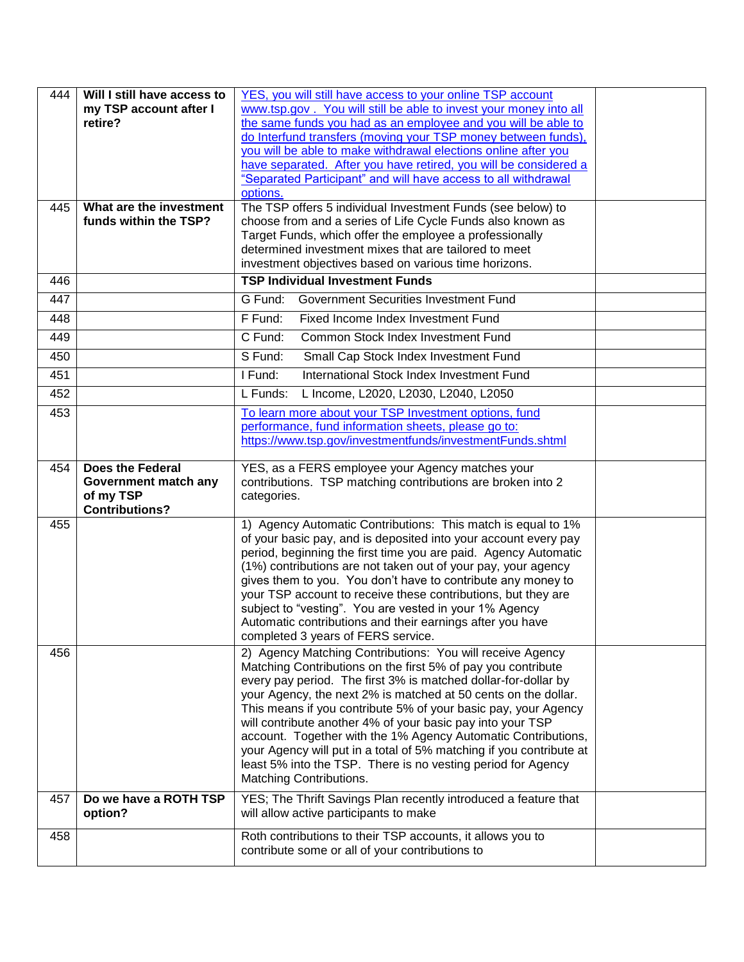| 444 | Will I still have access to<br>my TSP account after I<br>retire?               | YES, you will still have access to your online TSP account<br>www.tsp.gov. You will still be able to invest your money into all<br>the same funds you had as an employee and you will be able to<br>do Interfund transfers (moving your TSP money between funds),<br>you will be able to make withdrawal elections online after you<br>have separated. After you have retired, you will be considered a<br>"Separated Participant" and will have access to all withdrawal<br>options.                                                                                                                                            |  |
|-----|--------------------------------------------------------------------------------|----------------------------------------------------------------------------------------------------------------------------------------------------------------------------------------------------------------------------------------------------------------------------------------------------------------------------------------------------------------------------------------------------------------------------------------------------------------------------------------------------------------------------------------------------------------------------------------------------------------------------------|--|
| 445 | What are the investment<br>funds within the TSP?                               | The TSP offers 5 individual Investment Funds (see below) to<br>choose from and a series of Life Cycle Funds also known as<br>Target Funds, which offer the employee a professionally<br>determined investment mixes that are tailored to meet<br>investment objectives based on various time horizons.                                                                                                                                                                                                                                                                                                                           |  |
| 446 |                                                                                | <b>TSP Individual Investment Funds</b>                                                                                                                                                                                                                                                                                                                                                                                                                                                                                                                                                                                           |  |
| 447 |                                                                                | G Fund:<br>Government Securities Investment Fund                                                                                                                                                                                                                                                                                                                                                                                                                                                                                                                                                                                 |  |
| 448 |                                                                                | F Fund:<br>Fixed Income Index Investment Fund                                                                                                                                                                                                                                                                                                                                                                                                                                                                                                                                                                                    |  |
| 449 |                                                                                | C Fund:<br>Common Stock Index Investment Fund                                                                                                                                                                                                                                                                                                                                                                                                                                                                                                                                                                                    |  |
| 450 |                                                                                | S Fund:<br>Small Cap Stock Index Investment Fund                                                                                                                                                                                                                                                                                                                                                                                                                                                                                                                                                                                 |  |
| 451 |                                                                                | International Stock Index Investment Fund<br>I Fund:                                                                                                                                                                                                                                                                                                                                                                                                                                                                                                                                                                             |  |
| 452 |                                                                                | L Funds:<br>L Income, L2020, L2030, L2040, L2050                                                                                                                                                                                                                                                                                                                                                                                                                                                                                                                                                                                 |  |
| 453 |                                                                                | To learn more about your TSP Investment options, fund<br>performance, fund information sheets, please go to:<br>https://www.tsp.gov/investmentfunds/investmentFunds.shtml                                                                                                                                                                                                                                                                                                                                                                                                                                                        |  |
| 454 | Does the Federal<br>Government match any<br>of my TSP<br><b>Contributions?</b> | YES, as a FERS employee your Agency matches your<br>contributions. TSP matching contributions are broken into 2<br>categories.                                                                                                                                                                                                                                                                                                                                                                                                                                                                                                   |  |
| 455 |                                                                                | 1) Agency Automatic Contributions: This match is equal to 1%<br>of your basic pay, and is deposited into your account every pay<br>period, beginning the first time you are paid. Agency Automatic<br>(1%) contributions are not taken out of your pay, your agency<br>gives them to you. You don't have to contribute any money to<br>your TSP account to receive these contributions, but they are<br>subject to "vesting". You are vested in your 1% Agency<br>Automatic contributions and their earnings after you have<br>completed 3 years of FERS service.                                                                |  |
| 456 |                                                                                | 2) Agency Matching Contributions: You will receive Agency<br>Matching Contributions on the first 5% of pay you contribute<br>every pay period. The first 3% is matched dollar-for-dollar by<br>your Agency, the next 2% is matched at 50 cents on the dollar.<br>This means if you contribute 5% of your basic pay, your Agency<br>will contribute another 4% of your basic pay into your TSP<br>account. Together with the 1% Agency Automatic Contributions,<br>your Agency will put in a total of 5% matching if you contribute at<br>least 5% into the TSP. There is no vesting period for Agency<br>Matching Contributions. |  |
| 457 | Do we have a ROTH TSP<br>option?                                               | YES; The Thrift Savings Plan recently introduced a feature that<br>will allow active participants to make                                                                                                                                                                                                                                                                                                                                                                                                                                                                                                                        |  |
| 458 |                                                                                | Roth contributions to their TSP accounts, it allows you to<br>contribute some or all of your contributions to                                                                                                                                                                                                                                                                                                                                                                                                                                                                                                                    |  |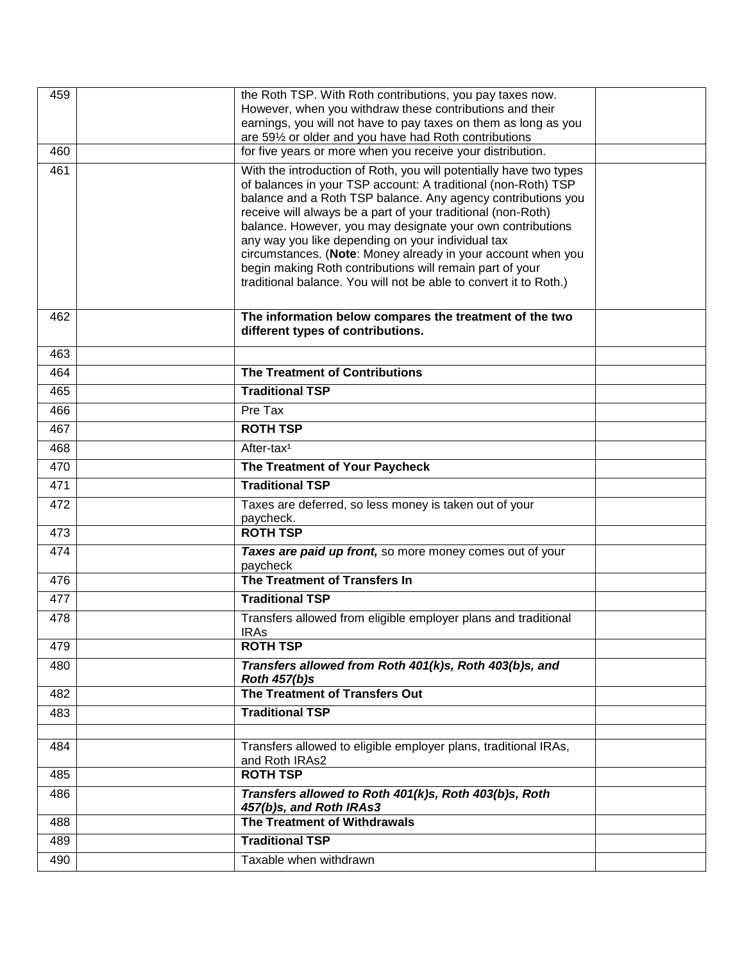| 459 | the Roth TSP. With Roth contributions, you pay taxes now.<br>However, when you withdraw these contributions and their      |  |
|-----|----------------------------------------------------------------------------------------------------------------------------|--|
|     | earnings, you will not have to pay taxes on them as long as you                                                            |  |
| 460 | are 591/2 or older and you have had Roth contributions<br>for five years or more when you receive your distribution.       |  |
| 461 | With the introduction of Roth, you will potentially have two types                                                         |  |
|     | of balances in your TSP account: A traditional (non-Roth) TSP                                                              |  |
|     | balance and a Roth TSP balance. Any agency contributions you                                                               |  |
|     | receive will always be a part of your traditional (non-Roth)<br>balance. However, you may designate your own contributions |  |
|     | any way you like depending on your individual tax                                                                          |  |
|     | circumstances. (Note: Money already in your account when you<br>begin making Roth contributions will remain part of your   |  |
|     | traditional balance. You will not be able to convert it to Roth.)                                                          |  |
|     |                                                                                                                            |  |
| 462 | The information below compares the treatment of the two                                                                    |  |
|     | different types of contributions.                                                                                          |  |
| 463 |                                                                                                                            |  |
| 464 | <b>The Treatment of Contributions</b>                                                                                      |  |
| 465 | <b>Traditional TSP</b>                                                                                                     |  |
| 466 | Pre Tax                                                                                                                    |  |
| 467 | <b>ROTH TSP</b>                                                                                                            |  |
| 468 | After-tax <sup>1</sup>                                                                                                     |  |
| 470 | The Treatment of Your Paycheck                                                                                             |  |
| 471 | <b>Traditional TSP</b>                                                                                                     |  |
| 472 | Taxes are deferred, so less money is taken out of your                                                                     |  |
| 473 | paycheck.<br><b>ROTH TSP</b>                                                                                               |  |
| 474 | Taxes are paid up front, so more money comes out of your                                                                   |  |
|     | paycheck                                                                                                                   |  |
| 476 | The Treatment of Transfers In                                                                                              |  |
| 477 | <b>Traditional TSP</b>                                                                                                     |  |
| 478 | Transfers allowed from eligible employer plans and traditional<br><b>IRAs</b>                                              |  |
| 479 | <b>ROTH TSP</b>                                                                                                            |  |
| 480 | Transfers allowed from Roth 401(k)s, Roth 403(b)s, and                                                                     |  |
|     | <b>Roth 457(b)s</b>                                                                                                        |  |
| 482 | The Treatment of Transfers Out                                                                                             |  |
| 483 | <b>Traditional TSP</b>                                                                                                     |  |
| 484 | Transfers allowed to eligible employer plans, traditional IRAs,                                                            |  |
|     | and Roth IRAs2                                                                                                             |  |
| 485 | <b>ROTH TSP</b>                                                                                                            |  |
| 486 | Transfers allowed to Roth 401(k)s, Roth 403(b)s, Roth<br>457(b)s, and Roth IRAs3                                           |  |
| 488 | The Treatment of Withdrawals                                                                                               |  |
| 489 | <b>Traditional TSP</b>                                                                                                     |  |
| 490 | Taxable when withdrawn                                                                                                     |  |
|     |                                                                                                                            |  |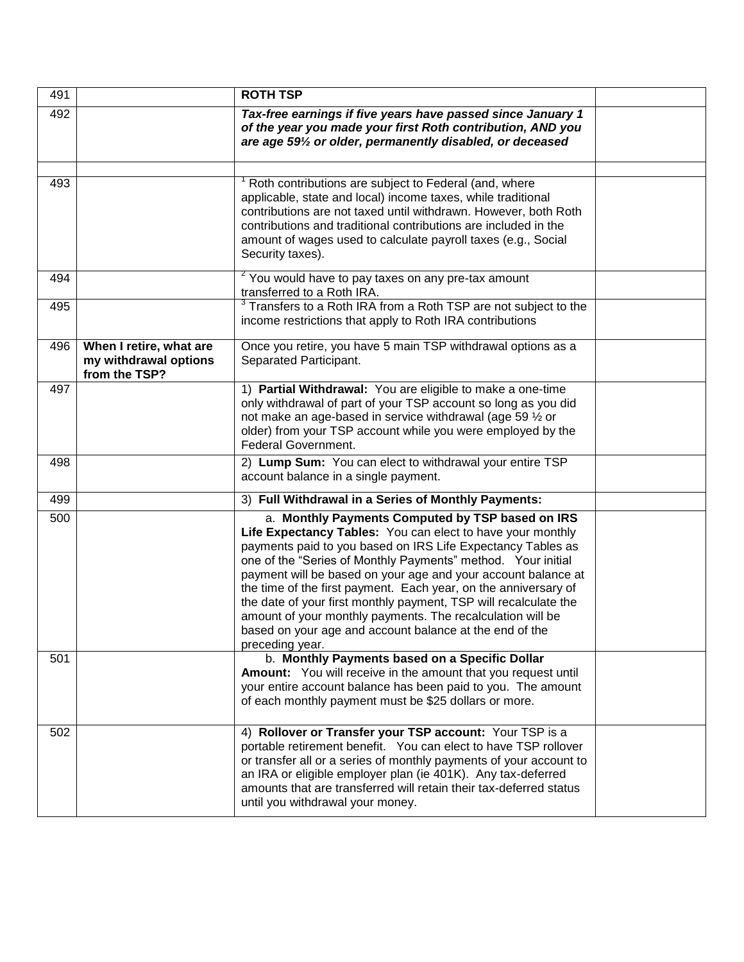| 491 |                                                                   | <b>ROTH TSP</b>                                                                                                                                                                                                                                                                                                                                                                                                                                                                                                                                                                                   |  |
|-----|-------------------------------------------------------------------|---------------------------------------------------------------------------------------------------------------------------------------------------------------------------------------------------------------------------------------------------------------------------------------------------------------------------------------------------------------------------------------------------------------------------------------------------------------------------------------------------------------------------------------------------------------------------------------------------|--|
| 492 |                                                                   | Tax-free earnings if five years have passed since January 1<br>of the year you made your first Roth contribution, AND you<br>are age 591/2 or older, permanently disabled, or deceased                                                                                                                                                                                                                                                                                                                                                                                                            |  |
| 493 |                                                                   | Roth contributions are subject to Federal (and, where                                                                                                                                                                                                                                                                                                                                                                                                                                                                                                                                             |  |
|     |                                                                   | applicable, state and local) income taxes, while traditional<br>contributions are not taxed until withdrawn. However, both Roth<br>contributions and traditional contributions are included in the<br>amount of wages used to calculate payroll taxes (e.g., Social<br>Security taxes).                                                                                                                                                                                                                                                                                                           |  |
| 494 |                                                                   | <sup>2</sup> You would have to pay taxes on any pre-tax amount<br>transferred to a Roth IRA.                                                                                                                                                                                                                                                                                                                                                                                                                                                                                                      |  |
| 495 |                                                                   | $3$ Transfers to a Roth IRA from a Roth TSP are not subject to the<br>income restrictions that apply to Roth IRA contributions                                                                                                                                                                                                                                                                                                                                                                                                                                                                    |  |
| 496 | When I retire, what are<br>my withdrawal options<br>from the TSP? | Once you retire, you have 5 main TSP withdrawal options as a<br>Separated Participant.                                                                                                                                                                                                                                                                                                                                                                                                                                                                                                            |  |
| 497 |                                                                   | 1) Partial Withdrawal: You are eligible to make a one-time<br>only withdrawal of part of your TSP account so long as you did<br>not make an age-based in service withdrawal (age 59 1/2 or<br>older) from your TSP account while you were employed by the<br>Federal Government.                                                                                                                                                                                                                                                                                                                  |  |
| 498 |                                                                   | 2) Lump Sum: You can elect to withdrawal your entire TSP<br>account balance in a single payment.                                                                                                                                                                                                                                                                                                                                                                                                                                                                                                  |  |
| 499 |                                                                   | 3) Full Withdrawal in a Series of Monthly Payments:                                                                                                                                                                                                                                                                                                                                                                                                                                                                                                                                               |  |
| 500 |                                                                   | a. Monthly Payments Computed by TSP based on IRS<br>Life Expectancy Tables: You can elect to have your monthly<br>payments paid to you based on IRS Life Expectancy Tables as<br>one of the "Series of Monthly Payments" method. Your initial<br>payment will be based on your age and your account balance at<br>the time of the first payment. Each year, on the anniversary of<br>the date of your first monthly payment, TSP will recalculate the<br>amount of your monthly payments. The recalculation will be<br>based on your age and account balance at the end of the<br>preceding year. |  |
| 501 |                                                                   | b. Monthly Payments based on a Specific Dollar<br><b>Amount:</b> You will receive in the amount that you request until<br>your entire account balance has been paid to you. The amount<br>of each monthly payment must be \$25 dollars or more.                                                                                                                                                                                                                                                                                                                                                   |  |
| 502 |                                                                   | 4) Rollover or Transfer your TSP account: Your TSP is a<br>portable retirement benefit. You can elect to have TSP rollover<br>or transfer all or a series of monthly payments of your account to<br>an IRA or eligible employer plan (ie 401K). Any tax-deferred<br>amounts that are transferred will retain their tax-deferred status<br>until you withdrawal your money.                                                                                                                                                                                                                        |  |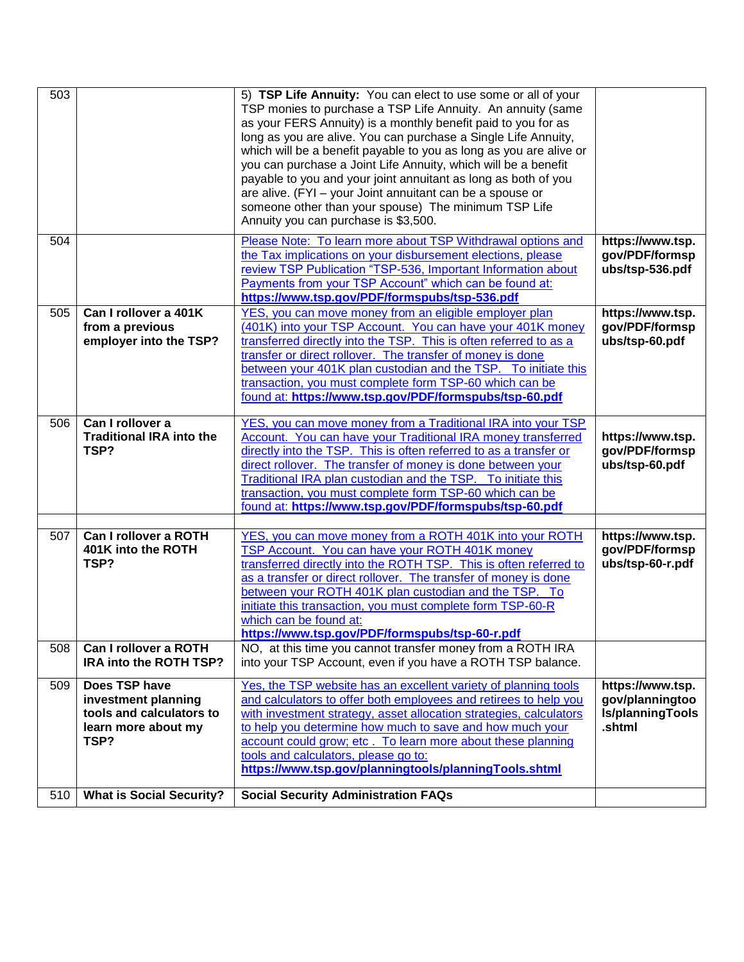| $\overline{5}03$ |                                                                    | 5) TSP Life Annuity: You can elect to use some or all of your<br>TSP monies to purchase a TSP Life Annuity. An annuity (same<br>as your FERS Annuity) is a monthly benefit paid to you for as<br>long as you are alive. You can purchase a Single Life Annuity,<br>which will be a benefit payable to you as long as you are alive or<br>you can purchase a Joint Life Annuity, which will be a benefit<br>payable to you and your joint annuitant as long as both of you<br>are alive. (FYI - your Joint annuitant can be a spouse or<br>someone other than your spouse) The minimum TSP Life<br>Annuity you can purchase is \$3,500. |                                                       |
|------------------|--------------------------------------------------------------------|----------------------------------------------------------------------------------------------------------------------------------------------------------------------------------------------------------------------------------------------------------------------------------------------------------------------------------------------------------------------------------------------------------------------------------------------------------------------------------------------------------------------------------------------------------------------------------------------------------------------------------------|-------------------------------------------------------|
| 504              |                                                                    | Please Note: To learn more about TSP Withdrawal options and<br>the Tax implications on your disbursement elections, please<br>review TSP Publication "TSP-536, Important Information about<br>Payments from your TSP Account" which can be found at:<br>https://www.tsp.gov/PDF/formspubs/tsp-536.pdf                                                                                                                                                                                                                                                                                                                                  | https://www.tsp.<br>gov/PDF/formsp<br>ubs/tsp-536.pdf |
| 505              | Can I rollover a 401K<br>from a previous<br>employer into the TSP? | YES, you can move money from an eligible employer plan<br>(401K) into your TSP Account. You can have your 401K money<br>transferred directly into the TSP. This is often referred to as a<br>transfer or direct rollover. The transfer of money is done<br>between your 401K plan custodian and the TSP. To initiate this<br>transaction, you must complete form TSP-60 which can be<br>found at: https://www.tsp.gov/PDF/formspubs/tsp-60.pdf                                                                                                                                                                                         | https://www.tsp.<br>gov/PDF/formsp<br>ubs/tsp-60.pdf  |
| 506              | Can I rollover a<br><b>Traditional IRA into the</b><br>TSP?        | YES, you can move money from a Traditional IRA into your TSP<br><b>Account. You can have your Traditional IRA money transferred</b><br>directly into the TSP. This is often referred to as a transfer or<br>direct rollover. The transfer of money is done between your<br>Traditional IRA plan custodian and the TSP. To initiate this<br>transaction, you must complete form TSP-60 which can be<br>found at: https://www.tsp.gov/PDF/formspubs/tsp-60.pdf                                                                                                                                                                           | https://www.tsp.<br>gov/PDF/formsp<br>ubs/tsp-60.pdf  |
| 507              | Can I rollover a ROTH                                              | YES, you can move money from a ROTH 401K into your ROTH                                                                                                                                                                                                                                                                                                                                                                                                                                                                                                                                                                                | https://www.tsp.                                      |
|                  | 401K into the ROTH<br>TSP?                                         | TSP Account. You can have your ROTH 401K money<br>transferred directly into the ROTH TSP. This is often referred to<br>as a transfer or direct rollover. The transfer of money is done<br>between your ROTH 401K plan custodian and the TSP. To<br>initiate this transaction, you must complete form TSP-60-R<br>which can be found at:<br>https://www.tsp.gov/PDF/formspubs/tsp-60-r.pdf                                                                                                                                                                                                                                              | gov/PDF/formsp<br>ubs/tsp-60-r.pdf                    |
| 508              | Can I rollover a ROTH<br>IRA into the ROTH TSP?                    | NO, at this time you cannot transfer money from a ROTH IRA<br>into your TSP Account, even if you have a ROTH TSP balance.                                                                                                                                                                                                                                                                                                                                                                                                                                                                                                              |                                                       |
| 509              | Does TSP have<br>investment planning                               | Yes, the TSP website has an excellent variety of planning tools<br>and calculators to offer both employees and retirees to help you                                                                                                                                                                                                                                                                                                                                                                                                                                                                                                    | https://www.tsp.<br>gov/planningtoo                   |
|                  | tools and calculators to<br>learn more about my<br>TSP?            | with investment strategy, asset allocation strategies, calculators<br>to help you determine how much to save and how much your<br>account could grow; etc. To learn more about these planning<br>tools and calculators, please go to:<br>https://www.tsp.gov/planningtools/planningTools.shtml                                                                                                                                                                                                                                                                                                                                         | Is/planningTools<br>.shtml                            |
| 510              | <b>What is Social Security?</b>                                    | <b>Social Security Administration FAQs</b>                                                                                                                                                                                                                                                                                                                                                                                                                                                                                                                                                                                             |                                                       |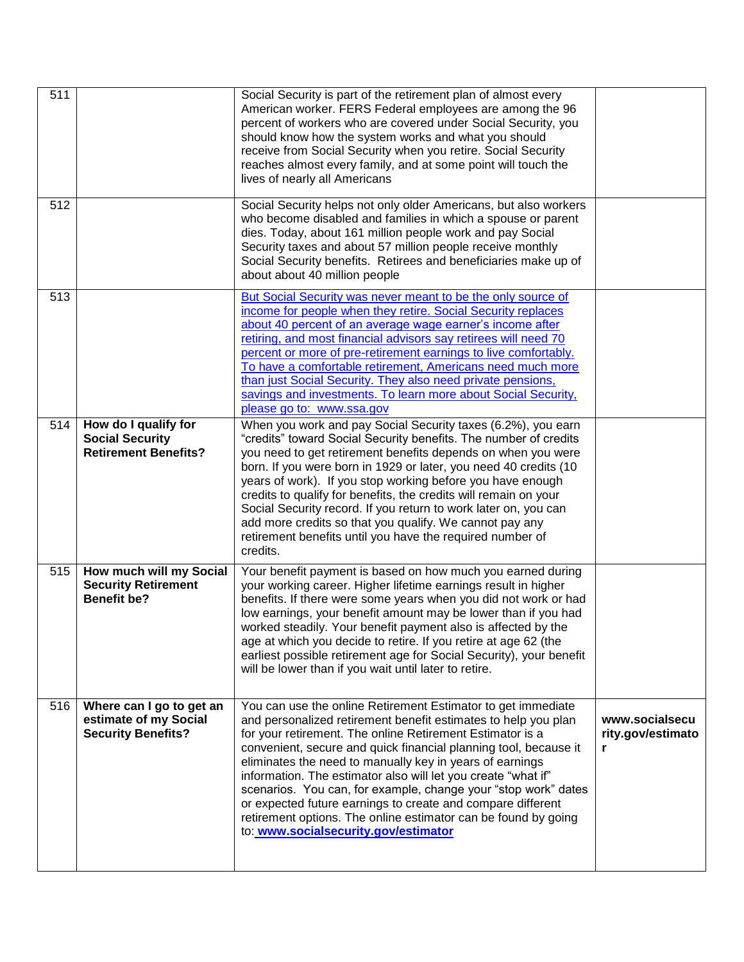| 511 |                                                                                | Social Security is part of the retirement plan of almost every<br>American worker. FERS Federal employees are among the 96<br>percent of workers who are covered under Social Security, you<br>should know how the system works and what you should<br>receive from Social Security when you retire. Social Security<br>reaches almost every family, and at some point will touch the<br>lives of nearly all Americans                                                                                                                                                                                                                  |                                          |
|-----|--------------------------------------------------------------------------------|-----------------------------------------------------------------------------------------------------------------------------------------------------------------------------------------------------------------------------------------------------------------------------------------------------------------------------------------------------------------------------------------------------------------------------------------------------------------------------------------------------------------------------------------------------------------------------------------------------------------------------------------|------------------------------------------|
| 512 |                                                                                | Social Security helps not only older Americans, but also workers<br>who become disabled and families in which a spouse or parent<br>dies. Today, about 161 million people work and pay Social<br>Security taxes and about 57 million people receive monthly<br>Social Security benefits. Retirees and beneficiaries make up of<br>about about 40 million people                                                                                                                                                                                                                                                                         |                                          |
| 513 |                                                                                | But Social Security was never meant to be the only source of<br>income for people when they retire. Social Security replaces<br>about 40 percent of an average wage earner's income after<br>retiring, and most financial advisors say retirees will need 70<br>percent or more of pre-retirement earnings to live comfortably.<br>To have a comfortable retirement, Americans need much more<br>than just Social Security. They also need private pensions,<br>savings and investments. To learn more about Social Security,<br>please go to: www.ssa.gov                                                                              |                                          |
| 514 | How do I qualify for<br><b>Social Security</b><br><b>Retirement Benefits?</b>  | When you work and pay Social Security taxes (6.2%), you earn<br>"credits" toward Social Security benefits. The number of credits<br>you need to get retirement benefits depends on when you were<br>born. If you were born in 1929 or later, you need 40 credits (10<br>years of work). If you stop working before you have enough<br>credits to qualify for benefits, the credits will remain on your<br>Social Security record. If you return to work later on, you can<br>add more credits so that you qualify. We cannot pay any<br>retirement benefits until you have the required number of<br>credits.                           |                                          |
| 515 | How much will my Social<br><b>Security Retirement</b><br><b>Benefit be?</b>    | Your benefit payment is based on how much you earned during<br>your working career. Higher lifetime earnings result in higher<br>benefits. If there were some years when you did not work or had<br>low earnings, your benefit amount may be lower than if you had<br>worked steadily. Your benefit payment also is affected by the<br>age at which you decide to retire. If you retire at age 62 (the<br>earliest possible retirement age for Social Security), your benefit<br>will be lower than if you wait until later to retire.                                                                                                  |                                          |
| 516 | Where can I go to get an<br>estimate of my Social<br><b>Security Benefits?</b> | You can use the online Retirement Estimator to get immediate<br>and personalized retirement benefit estimates to help you plan<br>for your retirement. The online Retirement Estimator is a<br>convenient, secure and quick financial planning tool, because it<br>eliminates the need to manually key in years of earnings<br>information. The estimator also will let you create "what if"<br>scenarios. You can, for example, change your "stop work" dates<br>or expected future earnings to create and compare different<br>retirement options. The online estimator can be found by going<br>to: www.socialsecurity.gov/estimator | www.socialsecu<br>rity.gov/estimato<br>r |